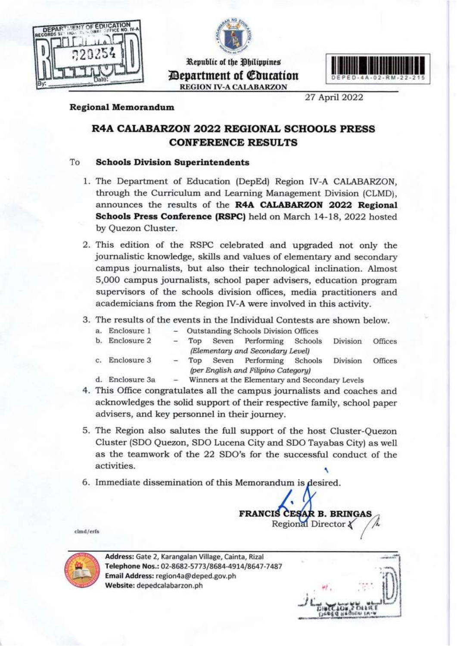



Republic of the Philippines Department of Education **REGION IV-A CALABARZON**



27 April 2022

#### **Regional Memorandum**

# **R4A CALABARZON 2022 REGIONAL SCHOOLS PRESS CONFERENCE RESULTS**

#### To **Schools Division Superintendents**

- 1. The Department of Education (DepEd) Region IV-A CALABARZON, 1. The Department of Education (DepEd) Region IV-A CALABARZON, through the Curriculum and Learning Management Division (CLMD), **Schools Press Conference (RSPC)** held on March 14-18, 2022 hosted by Quezon Cluster.
	- 2. This edition of the RSPC celebrated and upgraded not only the journalistic knowledge, skills and values of elementary and secondary campus journalists, but also their technological inclination. Almost 5,000 campus journalists, school paper advisers, education program supervisors of the schools division offices, media practitioners and academicians from the Region IV-A were involved in this activity.
	- 3. The results of the events in the Individual Contests are shown below.

| а. | Enclosure 1    |   |                                     |       | - Outstanding Schools Division Offices         |  |          |         |  |
|----|----------------|---|-------------------------------------|-------|------------------------------------------------|--|----------|---------|--|
|    | b. Enclosure 2 | - | Top                                 | Seven | Performing Schools                             |  | Division | Offices |  |
|    |                |   |                                     |       | (Elementary and Secondary Level)               |  |          |         |  |
| c. | Enclosure 3    |   | Top.                                | Seven | Performing Schools                             |  | Division | Offices |  |
|    |                |   | (per English and Filipino Category) |       |                                                |  |          |         |  |
| d. | Enclosure 3a   |   |                                     |       | Winners at the Elementary and Secondary Levels |  |          |         |  |

- d. Enclosure 3a Winners at the Elementary and Secondary Levels 4. This Office congratulates all the campus journalists and coaches and acknowledges the solid support of their respective family, school paper advisers, and key personnel in their journey.
	- 5. The Region also salutes the full support of the host Cluster-Quezon  $\frac{1}{2}$  as the teamwork of the 22 SDO's for the successful conduct of the  $\alpha$  activities
	- 6. Immediate dissemination of this Memorandum is desired.

 $\overline{\mathcal{N}}$ **FRANCIS CESAR B. BRINGAS Regional Director**  $\chi$ 

 $clmd/erfs$ 



Address: Gate 2, Karangalan Village, Cainta, Rizal Telephone Nos.: 02-8682-5773/8684-4914/8647-7487 **Email Address: region4a@deped.gov.ph** Website: depedcalabarzon.ph

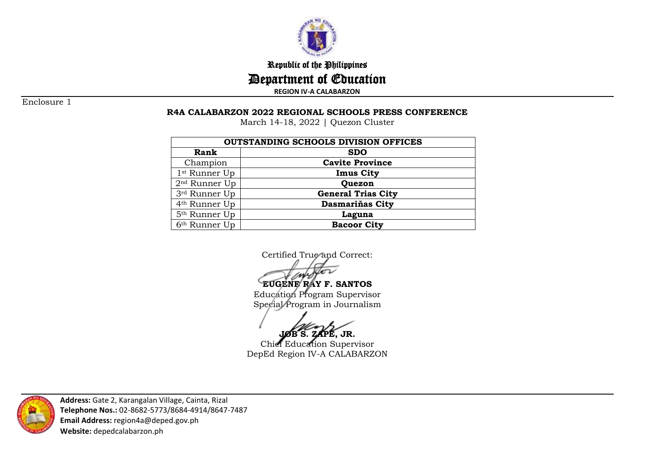

Republic of the Philippines

Department of Education

**REGION IV-A CALABARZON**

Enclosure 1

## **R4A CALABARZON 2022 REGIONAL SCHOOLS PRESS CONFERENCE**

March 14-18, 2022 | Quezon Cluster

| <b>OUTSTANDING SCHOOLS DIVISION OFFICES</b> |                           |  |  |  |
|---------------------------------------------|---------------------------|--|--|--|
| Rank                                        | <b>SDO</b>                |  |  |  |
| Champion                                    | <b>Cavite Province</b>    |  |  |  |
| 1 <sup>st</sup> Runner Up                   | <b>Imus City</b>          |  |  |  |
| $2nd$ Runner Up                             | Quezon                    |  |  |  |
| 3rd Runner Up                               | <b>General Trias City</b> |  |  |  |
| 4 <sup>th</sup> Runner Up                   | <b>Dasmariñas City</b>    |  |  |  |
| 5 <sup>th</sup> Runner Up                   | Laguna                    |  |  |  |
| 6 <sup>th</sup> Runner Up                   | <b>Bacoor City</b>        |  |  |  |

Certified True and Correct:

**EUGENE RAY F. SANTOS** Education Program Supervisor Special Program in Journalism

ZAPE, JR.

Chief Education Supervisor DepEd Region IV-A CALABARZON



**Address:** Gate 2, Karangalan Village, Cainta, Rizal **Telephone Nos.:** 02-8682-5773/8684-4914/8647-7487 **Email Address:** region4a@deped.gov.ph **Website:** depedcalabarzon.ph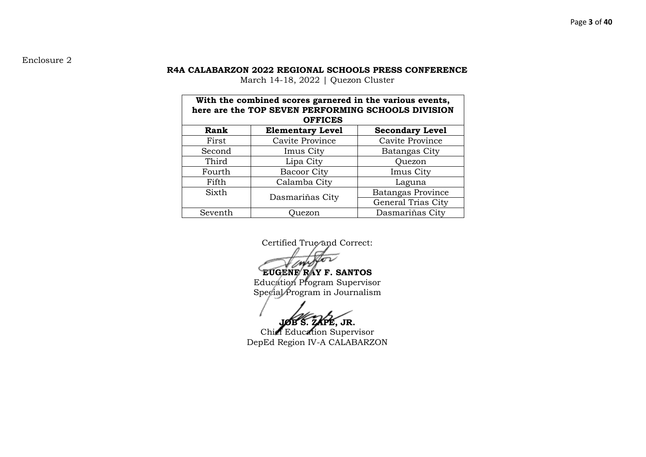## Enclosure 2

#### **R4A CALABARZON 2022 REGIONAL SCHOOLS PRESS CONFERENCE**

March 14-18, 2022 | Quezon Cluster

| With the combined scores garnered in the various events,<br>here are the TOP SEVEN PERFORMING SCHOOLS DIVISION<br><b>OFFICES</b> |                         |                        |  |  |  |
|----------------------------------------------------------------------------------------------------------------------------------|-------------------------|------------------------|--|--|--|
| Rank                                                                                                                             | <b>Elementary Level</b> | <b>Secondary Level</b> |  |  |  |
| First                                                                                                                            | Cavite Province         | Cavite Province        |  |  |  |
| Second                                                                                                                           | Imus City               | Batangas City          |  |  |  |
| Third                                                                                                                            | Lipa City               | Quezon                 |  |  |  |
| Fourth                                                                                                                           | <b>Bacoor City</b>      | Imus City              |  |  |  |
| Fifth                                                                                                                            | Calamba City            | Laguna                 |  |  |  |
| Sixth                                                                                                                            |                         | Batangas Province      |  |  |  |
|                                                                                                                                  | Dasmariñas City         | General Trias City     |  |  |  |
| Dasmariñas City<br>Seventh<br>Juezon                                                                                             |                         |                        |  |  |  |

Certified True and Correct:

**EUGENE RAY F. SANTOS** Education Program Supervisor Special Program in Journalism

**KPE, JR.** 

Chief Education Supervisor DepEd Region IV-A CALABARZON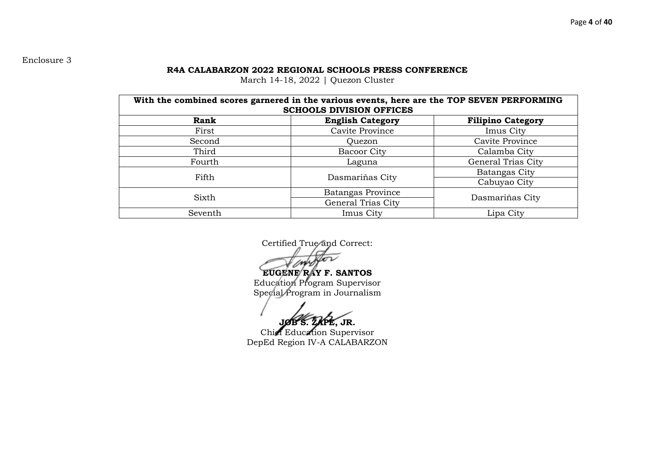# Enclosure 3

#### **R4A CALABARZON 2022 REGIONAL SCHOOLS PRESS CONFERENCE**

March 14-18, 2022 | Quezon Cluster

| With the combined scores garnered in the various events, here are the TOP SEVEN PERFORMING<br><b>SCHOOLS DIVISION OFFICES</b> |                         |                          |  |  |  |
|-------------------------------------------------------------------------------------------------------------------------------|-------------------------|--------------------------|--|--|--|
| Rank                                                                                                                          | <b>English Category</b> | <b>Filipino Category</b> |  |  |  |
| First                                                                                                                         | Cavite Province         | Imus City                |  |  |  |
| Second                                                                                                                        | Quezon                  | Cavite Province          |  |  |  |
| Third                                                                                                                         | Bacoor City             | Calamba City             |  |  |  |
| Fourth                                                                                                                        | Laguna                  | General Trias City       |  |  |  |
| Fifth                                                                                                                         |                         | Batangas City            |  |  |  |
|                                                                                                                               | Dasmariñas City         | Cabuyao City             |  |  |  |
| Sixth                                                                                                                         | Batangas Province       |                          |  |  |  |
|                                                                                                                               | General Trias City      | Dasmariñas City          |  |  |  |
| Seventh                                                                                                                       | Imus City               | Lipa City                |  |  |  |

Certified True and Correct:

**EUGENE RAY F. SANTOS** Education Program Supervisor Special Program in Journalism

**JOB S. ZAPE, JR.**

Chief Education Supervisor DepEd Region IV-A CALABARZON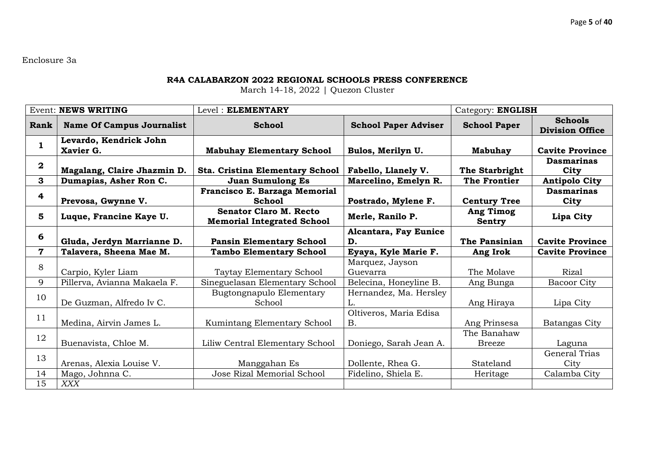Enclosure 3a

#### **R4A CALABARZON 2022 REGIONAL SCHOOLS PRESS CONFERENCE**

| <b>Event: NEWS WRITING</b> |                                     | Level: ELEMENTARY                                                  | Category: ENGLISH                   |                              |                                          |
|----------------------------|-------------------------------------|--------------------------------------------------------------------|-------------------------------------|------------------------------|------------------------------------------|
| Rank                       | <b>Name Of Campus Journalist</b>    | <b>School</b>                                                      | <b>School Paper Adviser</b>         | <b>School Paper</b>          | <b>Schools</b><br><b>Division Office</b> |
| $\mathbf{1}$               | Levardo, Kendrick John<br>Xavier G. | <b>Mabuhay Elementary School</b>                                   | Bulos, Merilyn U.                   | <b>Mabuhay</b>               | <b>Cavite Province</b>                   |
| $\boldsymbol{2}$           | Magalang, Claire Jhazmin D.         | <b>Sta. Cristina Elementary School</b>                             | Fabello, Llanely V.                 | The Starbright               | <b>Dasmarinas</b><br>City                |
| 3                          | Dumapias, Asher Ron C.              | <b>Juan Sumulong Es</b>                                            | Marcelino, Emelyn R.                | <b>The Frontier</b>          | <b>Antipolo City</b>                     |
| 4                          | Prevosa, Gwynne V.                  | Francisco E. Barzaga Memorial<br><b>School</b>                     | Postrado, Mylene F.                 | <b>Century Tree</b>          | <b>Dasmarinas</b><br>City                |
| 5                          | Luque, Francine Kaye U.             | <b>Senator Claro M. Recto</b><br><b>Memorial Integrated School</b> | Merle, Ranilo P.                    | <b>Ang Timog</b><br>Sentry   | Lipa City                                |
| 6                          | Gluda, Jerdyn Marrianne D.          | <b>Pansin Elementary School</b>                                    | Alcantara, Fay Eunice<br>D.         | The Pansinian                | <b>Cavite Province</b>                   |
| $\mathbf 7$                | Talavera, Sheena Mae M.             | <b>Tambo Elementary School</b>                                     | Eyaya, Kyle Marie F.                | Ang Irok                     | <b>Cavite Province</b>                   |
|                            |                                     |                                                                    | Marquez, Jayson                     |                              |                                          |
|                            |                                     |                                                                    |                                     |                              |                                          |
| 8                          | Carpio, Kyler Liam                  | Taytay Elementary School                                           | Guevarra                            | The Molave                   | <b>Rizal</b>                             |
| 9                          | Pillerva, Avianna Makaela F.        | Sineguelasan Elementary School                                     | Belecina, Honeyline B.              | Ang Bunga                    | <b>Bacoor City</b>                       |
| 10                         | De Guzman, Alfredo Iv C.            | Bugtongnapulo Elementary<br>School                                 | Hernandez, Ma. Hersley<br>L.        | Ang Hiraya                   | Lipa City                                |
| 11                         | Medina, Airvin James L.             | Kumintang Elementary School                                        | Oltiveros, Maria Edisa<br><b>B.</b> | Ang Prinsesa                 | Batangas City                            |
| 12                         | Buenavista, Chloe M.                | Liliw Central Elementary School                                    | Doniego, Sarah Jean A.              | The Banahaw<br><b>Breeze</b> | Laguna                                   |
| 13                         | Arenas, Alexia Louise V.            | Manggahan Es                                                       | Dollente, Rhea G.                   | Stateland                    | <b>General Trias</b><br>City             |
| 14                         | Mago, Johnna C.                     | Jose Rizal Memorial School                                         | Fidelino, Shiela E.                 | Heritage                     | Calamba City                             |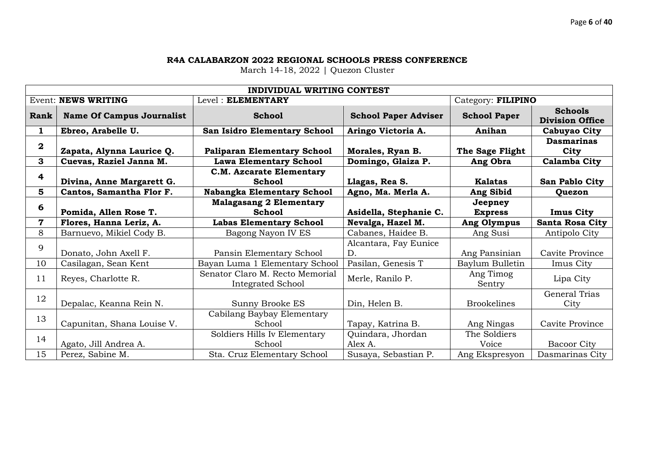|                | <b>INDIVIDUAL WRITING CONTEST</b> |                                                      |                              |                       |                                          |  |  |  |
|----------------|-----------------------------------|------------------------------------------------------|------------------------------|-----------------------|------------------------------------------|--|--|--|
|                | <b>Event: NEWS WRITING</b>        | Level: ELEMENTARY                                    |                              | Category: FILIPINO    |                                          |  |  |  |
| Rank           | <b>Name Of Campus Journalist</b>  | <b>School</b>                                        | <b>School Paper Adviser</b>  | <b>School Paper</b>   | <b>Schools</b><br><b>Division Office</b> |  |  |  |
| $\mathbf{1}$   | Ebreo, Arabelle U.                | San Isidro Elementary School                         | Aringo Victoria A.           | Anihan                | Cabuyao City                             |  |  |  |
| $\bf{2}$       | Zapata, Alynna Laurice Q.         | <b>Paliparan Elementary School</b>                   | Morales, Ryan B.             | The Sage Flight       | <b>Dasmarinas</b><br>City                |  |  |  |
| 3              | Cuevas, Raziel Janna M.           | <b>Lawa Elementary School</b>                        | Domingo, Glaiza P.           | Ang Obra              | Calamba City                             |  |  |  |
| 4              |                                   | <b>C.M. Azcarate Elementary</b>                      |                              |                       |                                          |  |  |  |
|                | Divina, Anne Margarett G.         | <b>School</b>                                        | Llagas, Rea S.               | <b>Kalatas</b>        | San Pablo City                           |  |  |  |
| 5 <sup>5</sup> | Cantos, Samantha Flor F.          | Nabangka Elementary School                           | Agno, Ma. Merla A.           | Ang Sibid             | Quezon                                   |  |  |  |
| 6              |                                   | <b>Malagasang 2 Elementary</b>                       |                              | Jeepney               |                                          |  |  |  |
|                | Pomida, Allen Rose T.             | <b>School</b>                                        | Asidella, Stephanie C.       | <b>Express</b>        | <b>Imus City</b>                         |  |  |  |
| 7              | Flores, Hanna Leriz, A.           | <b>Labas Elementary School</b>                       | Nevalga, Hazel M.            | Ang Olympus           | <b>Santa Rosa City</b>                   |  |  |  |
| 8              | Barnuevo, Mikiel Cody B.          | Bagong Nayon IV ES                                   | Cabanes, Haidee B.           | Ang Susi              | Antipolo City                            |  |  |  |
| 9              | Donato, John Axell F.             | Pansin Elementary School                             | Alcantara, Fay Eunice<br>D.  | Ang Pansinian         | Cavite Province                          |  |  |  |
| 10             | Casilagan, Sean Kent              | Bayan Luma 1 Elementary School                       | Pasilan, Genesis T           | Baylum Bulletin       | Imus City                                |  |  |  |
| 11             | Reyes, Charlotte R.               | Senator Claro M. Recto Memorial<br>Integrated School | Merle, Ranilo P.             | Ang Timog<br>Sentry   | Lipa City                                |  |  |  |
| 12             | Depalac, Keanna Rein N.           | Sunny Brooke ES                                      | Din, Helen B.                | <b>Brookelines</b>    | General Trias<br>City                    |  |  |  |
| 13             | Capunitan, Shana Louise V.        | Cabilang Baybay Elementary<br>School                 | Tapay, Katrina B.            | Ang Ningas            | Cavite Province                          |  |  |  |
| 14             | Agato, Jill Andrea A.             | Soldiers Hills Iv Elementary<br>School               | Quindara, Jhordan<br>Alex A. | The Soldiers<br>Voice | <b>Bacoor City</b>                       |  |  |  |
| 15             | Perez, Sabine M.                  | Sta. Cruz Elementary School                          | Susaya, Sebastian P.         | Ang Ekspresyon        | Dasmarinas City                          |  |  |  |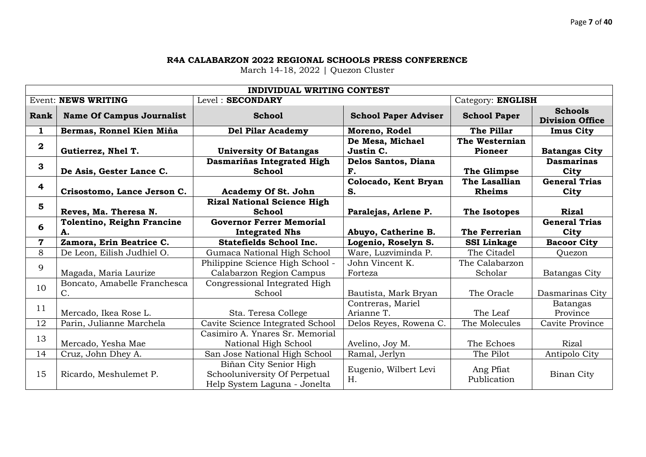|                         |                                   | <b>INDIVIDUAL WRITING CONTEST</b>  |                             |                          |                                          |
|-------------------------|-----------------------------------|------------------------------------|-----------------------------|--------------------------|------------------------------------------|
|                         | <b>Event: NEWS WRITING</b>        | Level: SECONDARY                   |                             | Category: ENGLISH        |                                          |
| Rank                    | <b>Name Of Campus Journalist</b>  | <b>School</b>                      | <b>School Paper Adviser</b> | <b>School Paper</b>      | <b>Schools</b><br><b>Division Office</b> |
| 1                       | Bermas, Ronnel Kien Miña          | <b>Del Pilar Academy</b>           | Moreno, Rodel               | The Pillar               | <b>Imus City</b>                         |
| $\bf{2}$                |                                   |                                    | De Mesa, Michael            | The Westernian           |                                          |
|                         | Gutierrez, Nhel T.                | <b>University Of Batangas</b>      | Justin C.                   | <b>Pioneer</b>           | <b>Batangas City</b>                     |
| 3                       |                                   | Dasmariñas Integrated High         | Delos Santos, Diana         |                          | <b>Dasmarinas</b>                        |
|                         | De Asis, Gester Lance C.          | <b>School</b>                      | F.                          | The Glimpse              | City                                     |
| $\overline{4}$          |                                   |                                    | Colocado, Kent Bryan        | The Lasallian            | <b>General Trias</b>                     |
|                         | Crisostomo, Lance Jerson C.       | <b>Academy Of St. John</b>         | S.                          | <b>Rheims</b>            | City                                     |
| 5                       |                                   | <b>Rizal National Science High</b> |                             |                          |                                          |
|                         | Reves, Ma. Theresa N.             | <b>School</b>                      | Paralejas, Arlene P.        | The Isotopes             | <b>Rizal</b>                             |
| 6                       | <b>Tolentino, Reighn Francine</b> | <b>Governor Ferrer Memorial</b>    |                             |                          | <b>General Trias</b>                     |
|                         | А.                                | <b>Integrated Nhs</b>              | Abuyo, Catherine B.         | The Ferrerian            | City                                     |
| $\overline{\mathbf{7}}$ | Zamora, Erin Beatrice C.          | <b>Statefields School Inc.</b>     | Logenio, Roselyn S.         | <b>SSI Linkage</b>       | <b>Bacoor City</b>                       |
| 8                       |                                   |                                    |                             |                          |                                          |
|                         | De Leon, Eilish Judhiel O.        | Gumaca National High School        | Ware, Luzviminda P.         | The Citadel              | Quezon                                   |
|                         |                                   | Philippine Science High School -   | John Vincent K.             | The Calabarzon           |                                          |
| 9                       | Magada, Maria Laurize             | Calabarzon Region Campus           | Forteza                     | Scholar                  | Batangas City                            |
|                         | Boncato, Amabelle Franchesca      | Congressional Integrated High      |                             |                          |                                          |
| 10                      | $C$ .                             | School                             | Bautista, Mark Bryan        | The Oracle               | Dasmarinas City                          |
|                         |                                   |                                    | Contreras, Mariel           |                          | Batangas                                 |
| 11                      | Mercado, Ikea Rose L.             | Sta. Teresa College                | Arianne T.                  | The Leaf                 | Province                                 |
| 12                      | Parin, Julianne Marchela          | Cavite Science Integrated School   | Delos Reyes, Rowena C.      | The Molecules            | Cavite Province                          |
|                         |                                   | Casimiro A. Ynares Sr. Memorial    |                             |                          |                                          |
| 13                      | Mercado, Yesha Mae                | National High School               | Avelino, Joy M.             | The Echoes               | <b>Rizal</b>                             |
| 14                      | Cruz, John Dhey A.                | San Jose National High School      | Ramal, Jerlyn               | The Pilot                | Antipolo City                            |
|                         |                                   | Biñan City Senior High             |                             |                          |                                          |
| 15                      | Ricardo, Meshulemet P.            | Schooluniversity Of Perpetual      | Eugenio, Wilbert Levi<br>H. | Ang Pfiat<br>Publication | Binan City                               |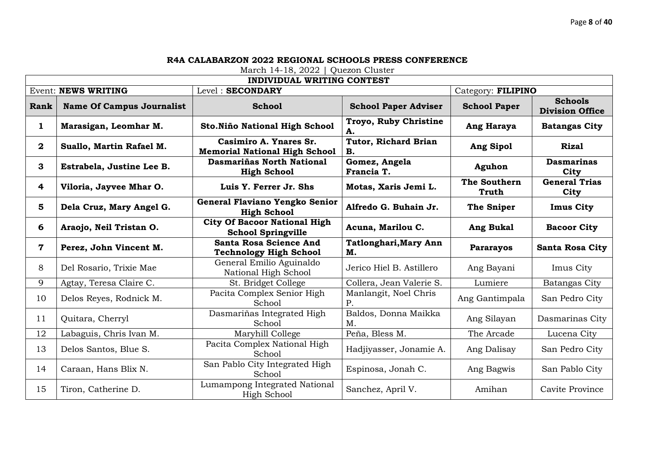|                         | <b>INDIVIDUAL WRITING CONTEST</b> |                                                                  |                                    |                       |                                          |  |  |  |
|-------------------------|-----------------------------------|------------------------------------------------------------------|------------------------------------|-----------------------|------------------------------------------|--|--|--|
|                         | <b>Event: NEWS WRITING</b>        | Level: SECONDARY                                                 |                                    | Category: FILIPINO    |                                          |  |  |  |
| Rank                    | <b>Name Of Campus Journalist</b>  | <b>School</b>                                                    | <b>School Paper Adviser</b>        | <b>School Paper</b>   | <b>Schools</b><br><b>Division Office</b> |  |  |  |
| $\mathbf{1}$            | Marasigan, Leomhar M.             | Sto. Niño National High School                                   | Troyo, Ruby Christine<br>А.        | Ang Haraya            | <b>Batangas City</b>                     |  |  |  |
| $\overline{\mathbf{2}}$ | Suallo, Martin Rafael M.          | Casimiro A. Ynares Sr.<br><b>Memorial National High School</b>   | Tutor, Richard Brian<br>В.         | Ang Sipol             | <b>Rizal</b>                             |  |  |  |
| 3                       | Estrabela, Justine Lee B.         | Dasmariñas North National<br><b>High School</b>                  | Gomez, Angela<br>Francia T.        | Aguhon                | <b>Dasmarinas</b><br>City                |  |  |  |
| $\overline{4}$          | Viloria, Jayvee Mhar O.           | Luis Y. Ferrer Jr. Shs                                           | Motas, Xaris Jemi L.               | The Southern<br>Truth | <b>General Trias</b><br>City             |  |  |  |
| $5\phantom{1}$          | Dela Cruz, Mary Angel G.          | General Flaviano Yengko Senior<br><b>High School</b>             | Alfredo G. Buhain Jr.              | The Sniper            | <b>Imus City</b>                         |  |  |  |
| 6                       | Araojo, Neil Tristan O.           | <b>City Of Bacoor National High</b><br><b>School Springville</b> | Acuna, Marilou C.                  | Ang Bukal             | <b>Bacoor City</b>                       |  |  |  |
| $\mathbf 7$             | Perez, John Vincent M.            | Santa Rosa Science And<br><b>Technology High School</b>          | <b>Tatlonghari, Mary Ann</b><br>M. | <b>Pararayos</b>      | <b>Santa Rosa City</b>                   |  |  |  |
| 8                       | Del Rosario, Trixie Mae           | General Emilio Aguinaldo<br>National High School                 | Jerico Hiel B. Astillero           | Ang Bayani            | Imus City                                |  |  |  |
| 9                       | Agtay, Teresa Claire C.           | St. Bridget College                                              | Collera, Jean Valerie S.           | Lumiere               | Batangas City                            |  |  |  |
| 10                      | Delos Reyes, Rodnick M.           | Pacita Complex Senior High<br>School                             | Manlangit, Noel Chris<br>P.        | Ang Gantimpala        | San Pedro City                           |  |  |  |
| 11                      | Quitara, Cherryl                  | Dasmariñas Integrated High<br>School                             | Baldos, Donna Maikka<br>Μ.         | Ang Silayan           | Dasmarinas City                          |  |  |  |
| 12                      | Labaguis, Chris Ivan M.           | Maryhill College                                                 | Peña, Bless M.                     | The Arcade            | Lucena City                              |  |  |  |
| 13                      | Delos Santos, Blue S.             | Pacita Complex National High<br>School                           | Hadjiyasser, Jonamie A.            | Ang Dalisay           | San Pedro City                           |  |  |  |
| 14                      | Caraan, Hans Blix N.              | San Pablo City Integrated High<br>School                         | Espinosa, Jonah C.                 | Ang Bagwis            | San Pablo City                           |  |  |  |
| 15                      | Tiron, Catherine D.               | Lumampong Integrated National<br>High School                     | Sanchez, April V.                  | Amihan                | Cavite Province                          |  |  |  |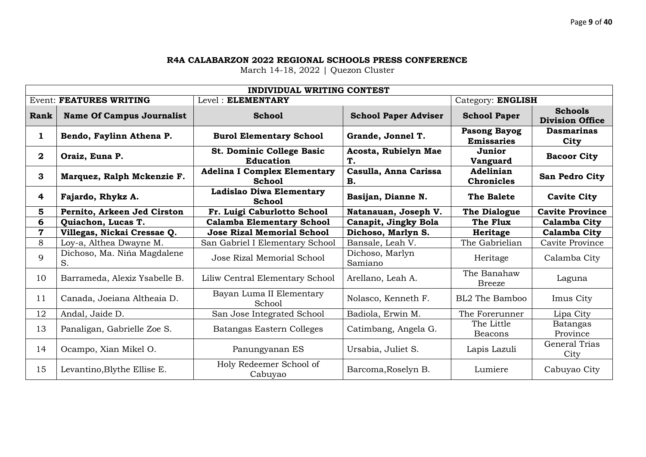|                         | <b>INDIVIDUAL WRITING CONTEST</b> |                                                      |                             |                                          |                                          |  |  |  |
|-------------------------|-----------------------------------|------------------------------------------------------|-----------------------------|------------------------------------------|------------------------------------------|--|--|--|
|                         | <b>Event: FEATURES WRITING</b>    | Level: ELEMENTARY                                    | Category: ENGLISH           |                                          |                                          |  |  |  |
| Rank                    | <b>Name Of Campus Journalist</b>  | <b>School</b>                                        | <b>School Paper Adviser</b> | <b>School Paper</b>                      | <b>Schools</b><br><b>Division Office</b> |  |  |  |
| 1                       | Bendo, Faylinn Athena P.          | <b>Burol Elementary School</b>                       | Grande, Jonnel T.           | <b>Pasong Bayog</b><br><b>Emissaries</b> | <b>Dasmarinas</b><br>City                |  |  |  |
| $\mathbf{2}$            | Oraiz, Euna P.                    | St. Dominic College Basic<br><b>Education</b>        | Acosta, Rubielyn Mae<br>T.  | Junior<br>Vanguard                       | <b>Bacoor City</b>                       |  |  |  |
| 3                       | Marquez, Ralph Mckenzie F.        | <b>Adelina I Complex Elementary</b><br><b>School</b> | Casulla, Anna Carissa<br>В. | Adelinian<br><b>Chronicles</b>           | <b>San Pedro City</b>                    |  |  |  |
| $\overline{\mathbf{4}}$ | Fajardo, Rhykz A.                 | Ladislao Diwa Elementary<br><b>School</b>            | Basijan, Dianne N.          | <b>The Balete</b>                        | <b>Cavite City</b>                       |  |  |  |
| 5                       | Pernito, Arkeen Jed Cirston       | Fr. Luigi Caburlotto School                          | Natanauan, Joseph V.        | <b>The Dialogue</b>                      | <b>Cavite Province</b>                   |  |  |  |
| 6                       | Quiachon, Lucas T.                | <b>Calamba Elementary School</b>                     | Canapit, Jingky Bola        | The Flux                                 | Calamba City                             |  |  |  |
| 7                       | Villegas, Nickai Cressae Q.       | <b>Jose Rizal Memorial School</b>                    | Dichoso, Marlyn S.          | Heritage                                 | Calamba City                             |  |  |  |
| 8                       | Loy-a, Althea Dwayne M.           | San Gabriel I Elementary School                      | Bansale, Leah V.            | The Gabrielian                           | Cavite Province                          |  |  |  |
| 9                       | Dichoso, Ma. Niña Magdalene<br>S. | Jose Rizal Memorial School                           | Dichoso, Marlyn<br>Samiano  | Heritage                                 | Calamba City                             |  |  |  |
| 10                      | Barrameda, Alexiz Ysabelle B.     | Liliw Central Elementary School                      | Arellano, Leah A.           | The Banahaw<br><b>Breeze</b>             | Laguna                                   |  |  |  |
| 11                      | Canada, Joeiana Altheaia D.       | Bayan Luma II Elementary<br>School                   | Nolasco, Kenneth F.         | BL2 The Bamboo                           | Imus City                                |  |  |  |
| 12                      | Andal, Jaide D.                   | San Jose Integrated School                           | Badiola, Erwin M.           | The Forerunner                           | Lipa City                                |  |  |  |
| 13                      | Panaligan, Gabrielle Zoe S.       | Batangas Eastern Colleges                            | Catimbang, Angela G.        | The Little<br>Beacons                    | Batangas<br>Province                     |  |  |  |
| 14                      | Ocampo, Xian Mikel O.             | Panungyanan ES                                       | Ursabia, Juliet S.          | Lapis Lazuli                             | General Trias<br>City                    |  |  |  |
| 15                      | Levantino, Blythe Ellise E.       | Holy Redeemer School of<br>Cabuyao                   | Barcoma, Roselyn B.         | Lumiere                                  | Cabuyao City                             |  |  |  |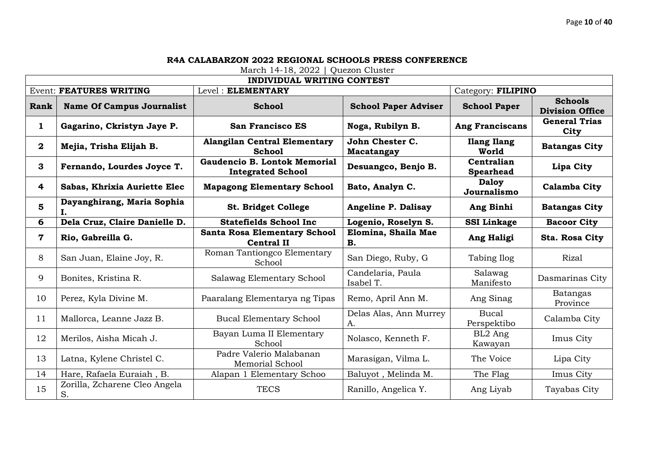|                         | <b>INDIVIDUAL WRITING CONTEST</b>   |                                                          |                                  |                                |                                          |  |  |  |
|-------------------------|-------------------------------------|----------------------------------------------------------|----------------------------------|--------------------------------|------------------------------------------|--|--|--|
|                         | <b>Event: FEATURES WRITING</b>      | Level: ELEMENTARY                                        |                                  | Category: FILIPINO             |                                          |  |  |  |
| Rank                    | <b>Name Of Campus Journalist</b>    | <b>School</b>                                            | <b>School Paper Adviser</b>      | <b>School Paper</b>            | <b>Schools</b><br><b>Division Office</b> |  |  |  |
| $\mathbf{1}$            | Gagarino, Ckristyn Jaye P.          | <b>San Francisco ES</b>                                  | Noga, Rubilyn B.                 | <b>Ang Franciscans</b>         | <b>General Trias</b><br>City             |  |  |  |
| $\overline{2}$          | Mejia, Trisha Elijah B.             | <b>Alangilan Central Elementary</b><br><b>School</b>     | John Chester C.<br>Macatangay    | <b>Ilang Ilang</b><br>World    | <b>Batangas City</b>                     |  |  |  |
| 3                       | Fernando, Lourdes Joyce T.          | Gaudencio B. Lontok Memorial<br><b>Integrated School</b> | Desuangco, Benjo B.              | Centralian<br><b>Spearhead</b> | Lipa City                                |  |  |  |
| $\overline{\mathbf{4}}$ | Sabas, Khrixia Auriette Elec        | <b>Mapagong Elementary School</b>                        | Bato, Analyn C.                  | <b>Daloy</b><br>Journalismo    | <b>Calamba City</b>                      |  |  |  |
| 5                       | Dayanghirang, Maria Sophia<br>Ι.    | St. Bridget College                                      | Angeline P. Dalisay              | Ang Binhi                      | <b>Batangas City</b>                     |  |  |  |
| 6                       | Dela Cruz, Claire Danielle D.       | <b>Statefields School Inc</b>                            | Logenio, Roselyn S.              | <b>SSI Linkage</b>             | <b>Bacoor City</b>                       |  |  |  |
| $\mathbf 7$             | Rio, Gabreilla G.                   | <b>Santa Rosa Elementary School</b><br><b>Central II</b> | Elomina, Shaila Mae<br><b>B.</b> | Ang Haligi                     | Sta. Rosa City                           |  |  |  |
| 8                       | San Juan, Elaine Joy, R.            | Roman Tantiongco Elementary<br>School                    | San Diego, Ruby, G               | Tabing Ilog                    | Rizal                                    |  |  |  |
| 9                       | Bonites, Kristina R.                | Salawag Elementary School                                | Candelaria, Paula<br>Isabel T.   | Salawag<br>Manifesto           | Dasmarinas City                          |  |  |  |
| 10                      | Perez, Kyla Divine M.               | Paaralang Elementarya ng Tipas                           | Remo, April Ann M.               | Ang Sinag                      | <b>Batangas</b><br>Province              |  |  |  |
| 11                      | Mallorca, Leanne Jazz B.            | <b>Bucal Elementary School</b>                           | Delas Alas, Ann Murrey<br>A.     | <b>Bucal</b><br>Perspektibo    | Calamba City                             |  |  |  |
| 12                      | Merilos, Aisha Micah J.             | Bayan Luma II Elementary<br>School                       | Nolasco, Kenneth F.              | BL2 Ang<br>Kawayan             | Imus City                                |  |  |  |
| 13                      | Latna, Kylene Christel C.           | Padre Valerio Malabanan<br>Memorial School               | Marasigan, Vilma L.              | The Voice                      | Lipa City                                |  |  |  |
| 14                      | Hare, Rafaela Euraiah, B.           | Alapan 1 Elementary Schoo                                | Baluyot, Melinda M.              | The Flag                       | Imus City                                |  |  |  |
| 15                      | Zorilla, Zcharene Cleo Angela<br>S. | <b>TECS</b>                                              | Ranillo, Angelica Y.             | Ang Liyab                      | Tayabas City                             |  |  |  |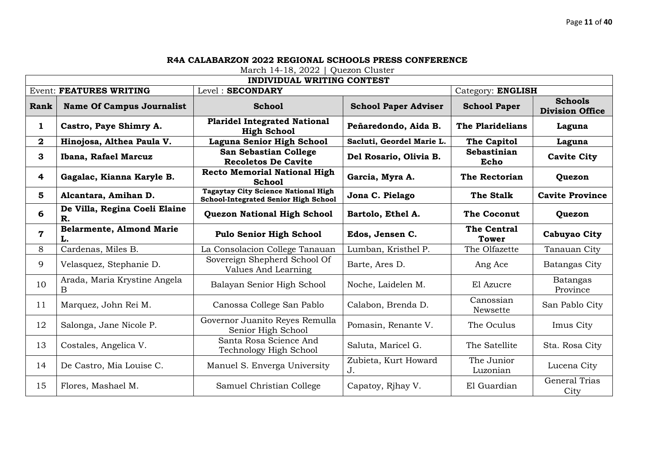|                |                                       | <b>INDIVIDUAL WRITING CONTEST</b>                                                  |                             |                             |                                          |
|----------------|---------------------------------------|------------------------------------------------------------------------------------|-----------------------------|-----------------------------|------------------------------------------|
|                | <b>Event: FEATURES WRITING</b>        | Level: SECONDARY                                                                   |                             | Category: ENGLISH           |                                          |
| Rank           | <b>Name Of Campus Journalist</b>      | <b>School</b>                                                                      | <b>School Paper Adviser</b> | <b>School Paper</b>         | <b>Schools</b><br><b>Division Office</b> |
| $\mathbf{1}$   | Castro, Paye Shimry A.                | <b>Plaridel Integrated National</b><br><b>High School</b>                          | Peñaredondo, Aida B.        | The Plaridelians            | Laguna                                   |
| $\mathbf{2}$   | Hinojosa, Althea Paula V.             | Laguna Senior High School                                                          | Sacluti, Geordel Marie L.   | The Capitol                 | Laguna                                   |
| 3              | Ibana, Rafael Marcuz                  | San Sebastian College<br><b>Recoletos De Cavite</b>                                | Del Rosario, Olivia B.      | Sebastinian<br>Echo         | <b>Cavite City</b>                       |
| 4              | Gagalac, Kianna Karyle B.             | <b>Recto Memorial National High</b><br><b>School</b>                               | Garcia, Myra A.             | <b>The Rectorian</b>        | Quezon                                   |
| 5              | Alcantara, Amihan D.                  | <b>Tagaytay City Science National High</b><br>School-Integrated Senior High School | Jona C. Pielago             | <b>The Stalk</b>            | <b>Cavite Province</b>                   |
| 6              | De Villa, Regina Coeli Elaine<br>R.   | <b>Quezon National High School</b>                                                 | Bartolo, Ethel A.           | <b>The Coconut</b>          | Quezon                                   |
| $\overline{7}$ | <b>Belarmente, Almond Marie</b><br>L. | <b>Pulo Senior High School</b>                                                     | Edos, Jensen C.             | The Central<br><b>Tower</b> | Cabuyao City                             |
| 8              | Cardenas, Miles B.                    | La Consolacion College Tanauan                                                     | Lumban, Kristhel P.         | The Olfazette               | Tanauan City                             |
| 9              | Velasquez, Stephanie D.               | Sovereign Shepherd School Of<br>Values And Learning                                | Barte, Ares D.              | Ang Ace                     | <b>Batangas City</b>                     |
| 10             | Arada, Maria Krystine Angela<br>Β     | Balayan Senior High School                                                         | Noche, Laidelen M.          | El Azucre                   | Batangas<br>Province                     |
| 11             | Marquez, John Rei M.                  | Canossa College San Pablo                                                          | Calabon, Brenda D.          | Canossian<br>Newsette       | San Pablo City                           |
| 12             | Salonga, Jane Nicole P.               | Governor Juanito Reyes Remulla<br>Senior High School                               | Pomasin, Renante V.         | The Oculus                  | Imus City                                |
| 13             | Costales, Angelica V.                 | Santa Rosa Science And<br>Technology High School                                   | Saluta, Maricel G.          | The Satellite               | Sta. Rosa City                           |
| 14             | De Castro, Mia Louise C.              | Manuel S. Enverga University                                                       | Zubieta, Kurt Howard<br>J.  | The Junior<br>Luzonian      | Lucena City                              |
| 15             | Flores, Mashael M.                    | Samuel Christian College                                                           | Capatoy, Rihay V.           | El Guardian                 | <b>General Trias</b><br>City             |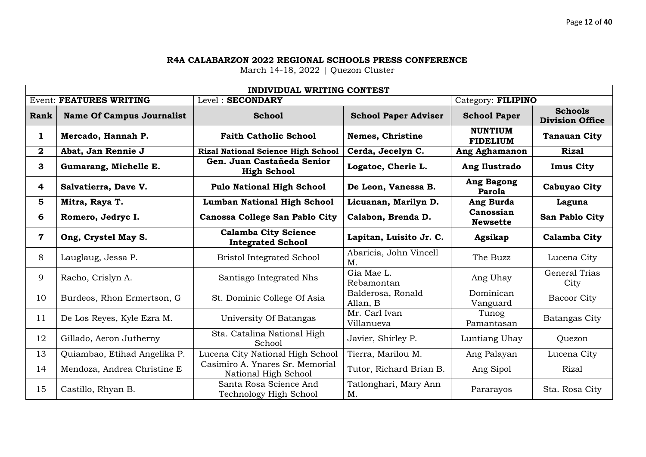|              | INDIVIDUAL WRITING CONTEST       |                                                         |                               |                                   |                                          |  |  |  |
|--------------|----------------------------------|---------------------------------------------------------|-------------------------------|-----------------------------------|------------------------------------------|--|--|--|
|              | <b>Event: FEATURES WRITING</b>   | Level: SECONDARY                                        |                               | Category: FILIPINO                |                                          |  |  |  |
| Rank         | <b>Name Of Campus Journalist</b> | <b>School</b>                                           | <b>School Paper Adviser</b>   | <b>School Paper</b>               | <b>Schools</b><br><b>Division Office</b> |  |  |  |
| $\mathbf{1}$ | Mercado, Hannah P.               | <b>Faith Catholic School</b>                            | Nemes, Christine              | <b>NUNTIUM</b><br><b>FIDELIUM</b> | <b>Tanauan City</b>                      |  |  |  |
| $\mathbf{2}$ | Abat, Jan Rennie J               | <b>Rizal National Science High School</b>               | Cerda, Jecelyn C.             | <b>Ang Aghamanon</b>              | <b>Rizal</b>                             |  |  |  |
| $\mathbf{3}$ | Gumarang, Michelle E.            | Gen. Juan Castañeda Senior<br><b>High School</b>        | Logatoc, Cherie L.            | Ang Ilustrado                     | <b>Imus City</b>                         |  |  |  |
| 4            | Salvatierra, Dave V.             | <b>Pulo National High School</b>                        | De Leon, Vanessa B.           | <b>Ang Bagong</b><br>Parola       | <b>Cabuyao City</b>                      |  |  |  |
| 5            | Mitra, Raya T.                   | <b>Lumban National High School</b>                      | Licuanan, Marilyn D.          | Ang Burda                         | Laguna                                   |  |  |  |
| 6            | Romero, Jedryc I.                | Canossa College San Pablo City                          | Calabon, Brenda D.            | Canossian<br><b>Newsette</b>      | San Pablo City                           |  |  |  |
| $\mathbf 7$  | Ong, Crystel May S.              | <b>Calamba City Science</b><br><b>Integrated School</b> | Lapitan, Luisito Jr. C.       | Agsikap                           | <b>Calamba City</b>                      |  |  |  |
| 8            | Lauglaug, Jessa P.               | <b>Bristol Integrated School</b>                        | Abaricia, John Vincell<br>M.  | The Buzz                          | Lucena City                              |  |  |  |
| 9            | Racho, Crislyn A.                | Santiago Integrated Nhs                                 | Gia Mae L.<br>Rebamontan      | Ang Uhay                          | <b>General Trias</b><br>City             |  |  |  |
| 10           | Burdeos, Rhon Ermertson, G       | St. Dominic College Of Asia                             | Balderosa, Ronald<br>Allan, B | Dominican<br>Vanguard             | Bacoor City                              |  |  |  |
| 11           | De Los Reyes, Kyle Ezra M.       | University Of Batangas                                  | Mr. Carl Ivan<br>Villanueva   | Tunog<br>Pamantasan               | Batangas City                            |  |  |  |
| 12           | Gillado, Aeron Jutherny          | Sta. Catalina National High<br>School                   | Javier, Shirley P.            | Luntiang Uhay                     | Quezon                                   |  |  |  |
| 13           | Quiambao, Etihad Angelika P.     | Lucena City National High School                        | Tierra, Marilou M.            | Ang Palayan                       | Lucena City                              |  |  |  |
| 14           | Mendoza, Andrea Christine E      | Casimiro A. Ynares Sr. Memorial<br>National High School | Tutor, Richard Brian B.       | Ang Sipol                         | Rizal                                    |  |  |  |
| 15           | Castillo, Rhyan B.               | Santa Rosa Science And<br>Technology High School        | Tatlonghari, Mary Ann<br>M.   | Pararayos                         | Sta. Rosa City                           |  |  |  |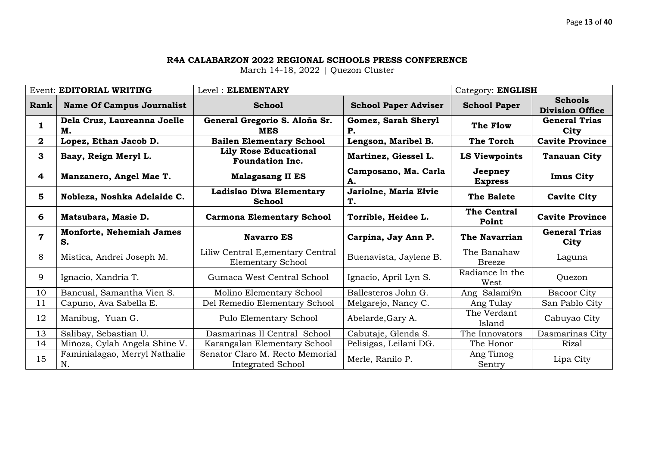|                         | <b>Event: EDITORIAL WRITING</b>   | Level: ELEMENTARY                                      |                                  | Category: ENGLISH            |                                          |
|-------------------------|-----------------------------------|--------------------------------------------------------|----------------------------------|------------------------------|------------------------------------------|
| Rank                    | <b>Name Of Campus Journalist</b>  | <b>School</b>                                          | <b>School Paper Adviser</b>      | <b>School Paper</b>          | <b>Schools</b><br><b>Division Office</b> |
| 1                       | Dela Cruz, Laureanna Joelle<br>М. | General Gregorio S. Aloña Sr.<br><b>MES</b>            | Gomez, Sarah Sheryl<br><b>P.</b> | The Flow                     | <b>General Trias</b><br>City             |
| $\bf{2}$                | Lopez, Ethan Jacob D.             | <b>Bailen Elementary School</b>                        | Lengson, Maribel B.              | <b>The Torch</b>             | <b>Cavite Province</b>                   |
| 3                       | Baay, Reign Meryl L.              | <b>Lily Rose Educational</b><br><b>Foundation Inc.</b> | Martinez, Giessel L.             | <b>LS Viewpoints</b>         | <b>Tanauan City</b>                      |
| 4                       | Manzanero, Angel Mae T.           | <b>Malagasang II ES</b>                                | Camposano, Ma. Carla<br>А.       | Jeepney<br><b>Express</b>    | <b>Imus City</b>                         |
| 5                       | Nobleza, Noshka Adelaide C.       | Ladislao Diwa Elementary<br><b>School</b>              | Jariolne, Maria Elvie<br>Τ.      | <b>The Balete</b>            | <b>Cavite City</b>                       |
| 6                       | Matsubara, Masie D.               | <b>Carmona Elementary School</b>                       | Torrible, Heidee L.              | <b>The Central</b><br>Point  | <b>Cavite Province</b>                   |
| $\overline{\mathbf{7}}$ | Monforte, Nehemiah James<br>S.    | <b>Navarro ES</b>                                      | Carpina, Jay Ann P.              | The Navarrian                | <b>General Trias</b><br>City             |
|                         |                                   |                                                        |                                  |                              |                                          |
| 8                       | Mistica, Andrei Joseph M.         | Liliw Central E, ementary Central<br>Elementary School | Buenavista, Jaylene B.           | The Banahaw<br><b>Breeze</b> | Laguna                                   |
| 9                       | Ignacio, Xandria T.               | Gumaca West Central School                             | Ignacio, April Lyn S.            | Radiance In the<br>West      | Quezon                                   |
| 10                      | Bancual, Samantha Vien S.         | Molino Elementary School                               | Ballesteros John G.              | Ang Salami9n                 | <b>Bacoor City</b>                       |
| 11                      | Capuno, Ava Sabella E.            | Del Remedio Elementary School                          | Melgarejo, Nancy C.              | Ang Tulay                    | San Pablo City                           |
| 12                      | Manibug, Yuan G.                  | Pulo Elementary School                                 | Abelarde, Gary A.                | The Verdant<br>Island        | Cabuyao City                             |
| 13                      | Salibay, Sebastian U.             | Dasmarinas II Central School                           | Cabutaje, Glenda S.              | The Innovators               | Dasmarinas City                          |
| 14                      | Miñoza, Cylah Angela Shine V.     | Karangalan Elementary School                           | Pelisigas, Leilani DG.           | The Honor                    | Rizal                                    |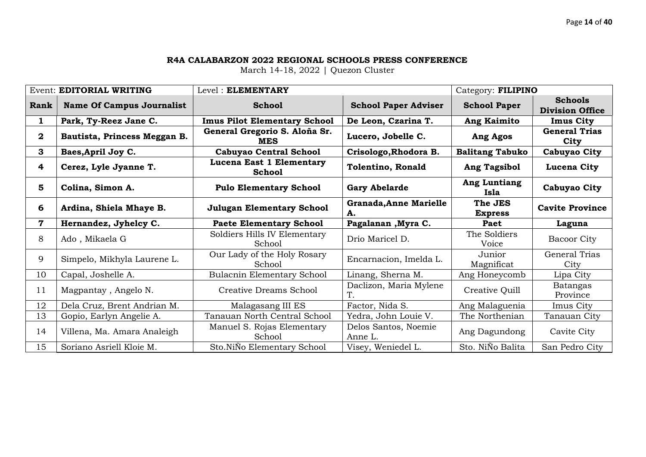|              | Event: EDITORIAL WRITING         | Level: ELEMENTARY                                                  |                                     | Category: FILIPINO        |                                          |
|--------------|----------------------------------|--------------------------------------------------------------------|-------------------------------------|---------------------------|------------------------------------------|
| Rank         | <b>Name Of Campus Journalist</b> | <b>School</b>                                                      | <b>School Paper Adviser</b>         | <b>School Paper</b>       | <b>Schools</b><br><b>Division Office</b> |
| 1            | Park, Ty-Reez Jane C.            | <b>Imus Pilot Elementary School</b>                                | De Leon, Czarina T.                 | <b>Ang Kaimito</b>        | <b>Imus City</b>                         |
| $\mathbf{2}$ | Bautista, Princess Meggan B.     | General Gregorio S. Aloña Sr.<br><b>MES</b>                        | Lucero, Jobelle C.                  | Ang Agos                  | <b>General Trias</b><br>City             |
| 3            | Baes, April Joy C.               | <b>Cabuyao Central School</b>                                      | Crisologo, Rhodora B.               | <b>Balitang Tabuko</b>    | Cabuyao City                             |
| 4            | Cerez, Lyle Jyanne T.            | Lucena East 1 Elementary<br><b>School</b>                          | <b>Tolentino, Ronald</b>            | <b>Ang Tagsibol</b>       | Lucena City                              |
| 5            | Colina, Simon A.                 | <b>Pulo Elementary School</b>                                      | <b>Gary Abelarde</b>                | Ang Luntiang<br>Isla      | Cabuyao City                             |
| 6            | Ardina, Shiela Mhaye B.          | <b>Julugan Elementary School</b>                                   | <b>Granada, Anne Marielle</b><br>A. | The JES<br><b>Express</b> | <b>Cavite Province</b>                   |
|              |                                  |                                                                    |                                     |                           |                                          |
| 7            | Hernandez, Jyhelcy C.            | <b>Paete Elementary School</b>                                     | Pagalanan , Myra C.                 | Paet                      | Laguna                                   |
| 8            | Ado, Mikaela G                   | Soldiers Hills IV Elementary<br>School                             | Drio Maricel D.                     | The Soldiers<br>Voice     | <b>Bacoor City</b>                       |
| 9            | Simpelo, Mikhyla Laurene L.      | Our Lady of the Holy Rosary<br>School                              | Encarnacion, Imelda L.              | Junior<br>Magnificat      | General Trias<br>City                    |
| 10           | Capal, Joshelle A.               | <b>Bulacnin Elementary School</b>                                  | Linang, Sherna M.                   | Ang Honeycomb             | Lipa City                                |
| 11           | Magpantay, Angelo N.             | Creative Dreams School                                             | Daclizon, Maria Mylene              | Creative Quill            | Batangas<br>Province                     |
| 12           | Dela Cruz, Brent Andrian M.      | Malagasang III ES                                                  | Factor, Nida S.                     | Ang Malaguenia            | Imus City                                |
| 13           | Gopio, Earlyn Angelie A.         | <b>Tanauan North Central School</b>                                | Yedra, John Louie V.                | The Northenian            | Tanauan City                             |
| 14           | Villena, Ma. Amara Analeigh      | Manuel S. Rojas Elementary<br>School<br>Sto.NiÑo Elementary School | Delos Santos, Noemie<br>Anne L.     | Ang Dagundong             | Cavite City                              |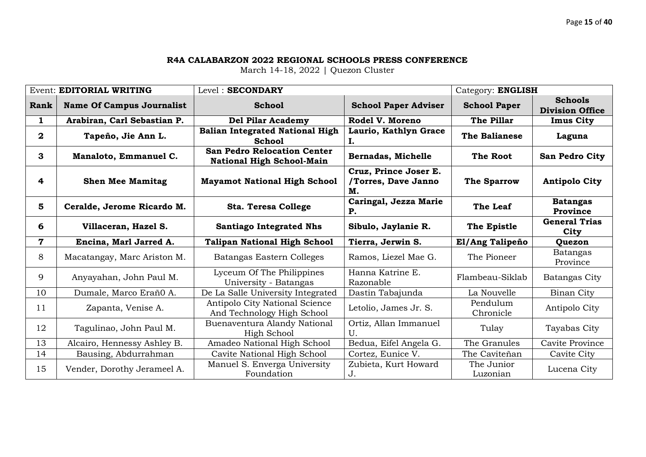|              | <b>Event: EDITORIAL WRITING</b>  | Level: SECONDARY                                                       |                                                    | Category: ENGLISH      |                                          |
|--------------|----------------------------------|------------------------------------------------------------------------|----------------------------------------------------|------------------------|------------------------------------------|
| Rank         | <b>Name Of Campus Journalist</b> | <b>School</b>                                                          | <b>School Paper Adviser</b>                        | <b>School Paper</b>    | <b>Schools</b><br><b>Division Office</b> |
| 1            | Arabiran, Carl Sebastian P.      | <b>Del Pilar Academy</b>                                               | Rodel V. Moreno                                    | The Pillar             | <b>Imus City</b>                         |
| $\mathbf{2}$ | Tapeño, Jie Ann L.               | <b>Balian Integrated National High</b><br><b>School</b>                | Laurio, Kathlyn Grace<br>I.                        | <b>The Balianese</b>   | Laguna                                   |
| 3            | Manaloto, Emmanuel C.            | <b>San Pedro Relocation Center</b><br><b>National High School-Main</b> | Bernadas, Michelle                                 | The Root               | San Pedro City                           |
| 4            | <b>Shen Mee Mamitag</b>          | <b>Mayamot National High School</b>                                    | Cruz, Prince Joser E.<br>/Torres, Dave Janno<br>М. | <b>The Sparrow</b>     | <b>Antipolo City</b>                     |
| 5            | Ceralde, Jerome Ricardo M.       | <b>Sta. Teresa College</b>                                             | Caringal, Jezza Marie<br><b>P.</b>                 | The Leaf               | <b>Batangas</b><br>Province              |
| 6            | Villaceran, Hazel S.             | <b>Santiago Integrated Nhs</b>                                         | Sibulo, Jaylanie R.                                | The Epistle            | <b>General Trias</b><br>City             |
| $\mathbf 7$  | Encina, Marl Jarred A.           | <b>Talipan National High School</b>                                    | Tierra, Jerwin S.                                  | El/Ang Talipeño        | Quezon                                   |
| 8            | Macatangay, Marc Ariston M.      | Batangas Eastern Colleges                                              | Ramos, Liezel Mae G.                               | The Pioneer            | <b>Batangas</b><br>Province              |
| 9            | Anyayahan, John Paul M.          | Lyceum Of The Philippines<br>University - Batangas                     | Hanna Katrine E.<br>Razonable                      | Flambeau-Siklab        | Batangas City                            |
| 10           | Dumale, Marco Eraño A.           | De La Salle University Integrated                                      | Dastin Tabajunda                                   | La Nouvelle            | Binan City                               |
| 11           | Zapanta, Venise A.               | Antipolo City National Science<br>And Technology High School           | Letolio, James Jr. S.                              | Pendulum<br>Chronicle  | Antipolo City                            |
| 12           | Tagulinao, John Paul M.          | Buenaventura Alandy National<br>High School                            | Ortiz, Allan Immanuel<br>U.                        | Tulay                  | Tayabas City                             |
| 13           | Alcairo, Hennessy Ashley B.      | Amadeo National High School                                            | Bedua, Eifel Angela G.                             | The Granules           | Cavite Province                          |
| 14           | Bausing, Abdurrahman             | Cavite National High School                                            | Cortez, Eunice V.                                  | The Caviteñan          | Cavite City                              |
| 15           | Vender, Dorothy Jerameel A.      | Manuel S. Enverga University<br>Foundation                             | Zubieta, Kurt Howard<br>J.                         | The Junior<br>Luzonian | Lucena City                              |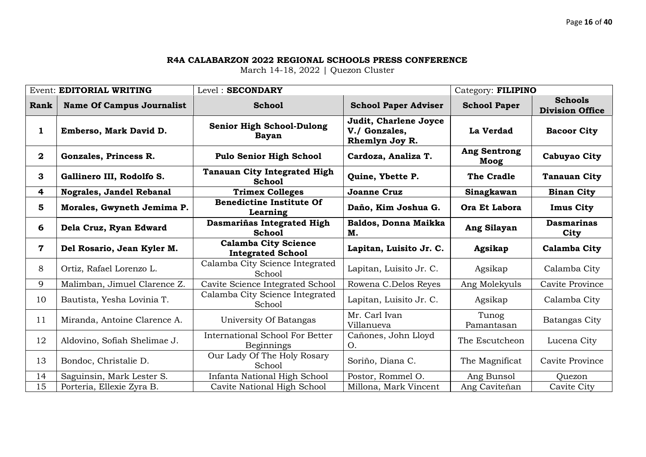|             | <b>Event: EDITORIAL WRITING</b>  | Level: SECONDARY                                        |                                                          | Category: FILIPINO          |                                          |
|-------------|----------------------------------|---------------------------------------------------------|----------------------------------------------------------|-----------------------------|------------------------------------------|
| Rank        | <b>Name Of Campus Journalist</b> | <b>School</b>                                           | <b>School Paper Adviser</b>                              | <b>School Paper</b>         | <b>Schools</b><br><b>Division Office</b> |
| 1           | Emberso, Mark David D.           | <b>Senior High School-Dulong</b><br><b>Bayan</b>        | Judit, Charlene Joyce<br>V./ Gonzales,<br>Rhemlyn Joy R. | La Verdad                   | <b>Bacoor City</b>                       |
| $\bf{2}$    | Gonzales, Princess R.            | <b>Pulo Senior High School</b>                          | Cardoza, Analiza T.                                      | <b>Ang Sentrong</b><br>Moog | Cabuyao City                             |
| 3           | Gallinero III, Rodolfo S.        | <b>Tanauan City Integrated High</b><br><b>School</b>    | Quine, Ybette P.                                         | The Cradle                  | <b>Tanauan City</b>                      |
| 4           | Nograles, Jandel Rebanal         | <b>Trimex Colleges</b>                                  | <b>Joanne Cruz</b>                                       | Sinagkawan                  | <b>Binan City</b>                        |
| 5           | Morales, Gwyneth Jemima P.       | <b>Benedictine Institute Of</b><br>Learning             | Daño, Kim Joshua G.                                      | Ora Et Labora               | <b>Imus City</b>                         |
| 6           | Dela Cruz, Ryan Edward           | Dasmariñas Integrated High<br><b>School</b>             | Baldos, Donna Maikka<br>М.                               | Ang Silayan                 | <b>Dasmarinas</b><br>City                |
|             |                                  |                                                         |                                                          |                             |                                          |
| $\mathbf 7$ | Del Rosario, Jean Kyler M.       | <b>Calamba City Science</b><br><b>Integrated School</b> | Lapitan, Luisito Jr. C.                                  | Agsikap                     | <b>Calamba City</b>                      |
| 8           | Ortiz, Rafael Lorenzo L.         | Calamba City Science Integrated<br>School               | Lapitan, Luisito Jr. C.                                  | Agsikap                     | Calamba City                             |
| 9           | Malimban, Jimuel Clarence Z.     | Cavite Science Integrated School                        | Rowena C.Delos Reyes                                     | Ang Molekyuls               | Cavite Province                          |
| 10          | Bautista, Yesha Lovinia T.       | Calamba City Science Integrated<br>School               | Lapitan, Luisito Jr. C.                                  | Agsikap                     | Calamba City                             |
| 11          | Miranda, Antoine Clarence A.     | University Of Batangas                                  | Mr. Carl Ivan<br>Villanueva                              | Tunog<br>Pamantasan         | Batangas City                            |
| 12          | Aldovino, Sofiah Shelimae J.     | <b>International School For Better</b><br>Beginnings    | Cañones, John Lloyd<br>O.                                | The Escutcheon              | Lucena City                              |
| 13          | Bondoc, Christalie D.            | Our Lady Of The Holy Rosary<br>School                   | Soriño, Diana C.                                         | The Magnificat              | Cavite Province                          |
| 14<br>15    | Saguinsin, Mark Lester S.        | Infanta National High School                            | Postor, Rommel O.                                        | Ang Bunsol                  | Ouezon                                   |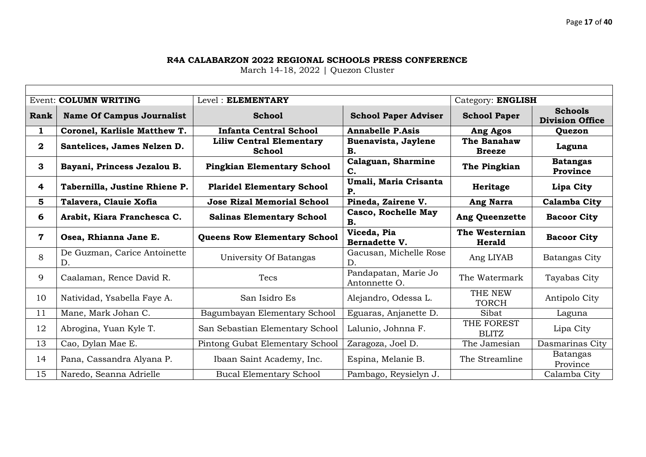# Page **17** of **40**

#### **R4A CALABARZON 2022 REGIONAL SCHOOLS PRESS CONFERENCE**

|              | Event: COLUMN WRITING              | Level: ELEMENTARY                                |                                         | Category: ENGLISH               |                                          |
|--------------|------------------------------------|--------------------------------------------------|-----------------------------------------|---------------------------------|------------------------------------------|
| Rank         | <b>Name Of Campus Journalist</b>   | <b>School</b>                                    | <b>School Paper Adviser</b>             | <b>School Paper</b>             | <b>Schools</b><br><b>Division Office</b> |
| 1            | Coronel, Karlisle Matthew T.       | <b>Infanta Central School</b>                    | <b>Annabelle P.Asis</b>                 | Ang Agos                        | Quezon                                   |
| $\mathbf{2}$ | Santelices, James Nelzen D.        | <b>Liliw Central Elementary</b><br><b>School</b> | Buenavista, Jaylene<br>В.               | The Banahaw<br><b>Breeze</b>    | Laguna                                   |
| 3            | Bayani, Princess Jezalou B.        | <b>Pingkian Elementary School</b>                | Calaguan, Sharmine<br>C.                | The Pingkian                    | <b>Batangas</b><br>Province              |
| 4            | Tabernilla, Justine Rhiene P.      | <b>Plaridel Elementary School</b>                | Umali, Maria Crisanta<br><b>P.</b>      | Heritage                        | Lipa City                                |
| 5            | Talavera, Clauie Xofia             | <b>Jose Rizal Memorial School</b>                | Pineda, Zairene V.                      | Ang Narra                       | Calamba City                             |
| 6            | Arabit, Kiara Franchesca C.        | <b>Salinas Elementary School</b>                 | <b>Casco, Rochelle May</b><br><b>B.</b> | <b>Ang Queenzette</b>           | <b>Bacoor City</b>                       |
| $\mathbf 7$  | Osea, Rhianna Jane E.              | <b>Queens Row Elementary School</b>              | Viceda, Pia<br><b>Bernadette V.</b>     | The Westernian<br><b>Herald</b> | <b>Bacoor City</b>                       |
| 8            | De Guzman, Carice Antoinette<br>D. | University Of Batangas                           | Gacusan, Michelle Rose<br>D.            | Ang LIYAB                       | Batangas City                            |
| 9            | Caalaman, Rence David R.           | <b>Tecs</b>                                      | Pandapatan, Marie Jo<br>Antonnette O.   | The Watermark                   | Tayabas City                             |
| 10           | Natividad, Ysabella Faye A.        | San Isidro Es                                    | Alejandro, Odessa L.                    | THE NEW<br><b>TORCH</b>         | Antipolo City                            |
| 11           | Mane, Mark Johan C.                | Bagumbayan Elementary School                     | Eguaras, Anjanette D.                   | Sibat                           | Laguna                                   |
| 12           | Abrogina, Yuan Kyle T.             | San Sebastian Elementary School                  | Lalunio, Johnna F.                      | THE FOREST<br><b>BLITZ</b>      | Lipa City                                |
| 13           | Cao, Dylan Mae E.                  | Pintong Gubat Elementary School                  | Zaragoza, Joel D.                       | The Jamesian                    | Dasmarinas City                          |
| 14           | Pana, Cassandra Alyana P.          | Ibaan Saint Academy, Inc.                        | Espina, Melanie B.                      | The Streamline                  | Batangas<br>Province                     |
| 15           | Naredo, Seanna Adrielle            | <b>Bucal Elementary School</b>                   | Pambago, Reysielyn J.                   |                                 | Calamba City                             |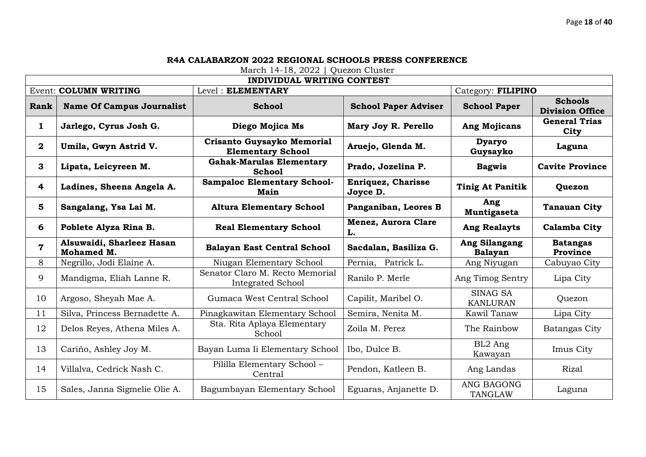|                         |                                         | INDIVIDUAL WRITING CONTEST                             |                                       |                                     |                                          |
|-------------------------|-----------------------------------------|--------------------------------------------------------|---------------------------------------|-------------------------------------|------------------------------------------|
|                         | <b>Event: COLUMN WRITING</b>            | Level: ELEMENTARY                                      |                                       | Category: FILIPINO                  |                                          |
| Rank                    | <b>Name Of Campus Journalist</b>        | <b>School</b>                                          | <b>School Paper Adviser</b>           | <b>School Paper</b>                 | <b>Schools</b><br><b>Division Office</b> |
| $\mathbf{1}$            | Jarlego, Cyrus Josh G.                  | Diego Mojica Ms                                        | Mary Joy R. Perello                   | <b>Ang Mojicans</b>                 | <b>General Trias</b><br>City             |
| $\overline{2}$          | Umila, Gwyn Astrid V.                   | Crisanto Guysayko Memorial<br><b>Elementary School</b> | Aruejo, Glenda M.                     | <b>Dyaryo</b><br>Guysayko           | Laguna                                   |
| 3                       | Lipata, Leicyreen M.                    | <b>Gahak-Marulas Elementary</b><br><b>School</b>       | Prado, Jozelina P.                    | <b>Bagwis</b>                       | <b>Cavite Province</b>                   |
| $\overline{\mathbf{4}}$ | Ladines, Sheena Angela A.               | <b>Sampaloc Elementary School-</b><br>Main             | <b>Enriquez, Charisse</b><br>Joyce D. | <b>Tinig At Panitik</b>             | Quezon                                   |
| 5                       | Sangalang, Ysa Lai M.                   | <b>Altura Elementary School</b>                        | Panganiban, Leores B                  | Ang<br>Muntigaseta                  | <b>Tanauan City</b>                      |
| 6                       | Poblete Alyza Rina B.                   | <b>Real Elementary School</b>                          | <b>Menez, Aurora Clare</b><br>L.      | <b>Ang Realayts</b>                 | Calamba City                             |
| $\overline{\mathbf{7}}$ | Alsuwaidi, Sharleez Hasan<br>Mohamed M. | <b>Balayan East Central School</b>                     | Sacdalan, Basiliza G.                 | Ang Silangang<br><b>Balayan</b>     | <b>Batangas</b><br>Province              |
| 8                       | Negrillo, Jodi Elaine A.                | Niugan Elementary School                               | Pernia, Patrick L.                    | Ang Niyugan                         | Cabuyao City                             |
| 9                       | Mandigma, Eliah Lanne R.                | Senator Claro M. Recto Memorial<br>Integrated School   | Ranilo P. Merle                       | Ang Timog Sentry                    | Lipa City                                |
| 10                      | Argoso, Sheyah Mae A.                   | Gumaca West Central School                             | Capilit, Maribel O.                   | <b>SINAG SA</b><br><b>KANLURAN</b>  | Quezon                                   |
| 11                      | Silva, Princess Bernadette A.           | Pinagkawitan Elementary School                         | Semira, Nenita M.                     | Kawil Tanaw                         | Lipa City                                |
| 12                      | Delos Reyes, Athena Miles A.            | Sta. Rita Aplaya Elementary<br>School                  | Zoila M. Perez                        | The Rainbow                         | Batangas City                            |
| 13                      | Cariño, Ashley Joy M.                   | Bayan Luma Ii Elementary School                        | Ibo, Dulce B.                         | BL2 Ang<br>Kawayan                  | Imus City                                |
| 14                      | Villalva, Cedrick Nash C.               | Pililla Elementary School -<br>Central                 | Pendon, Katleen B.                    | Ang Landas                          | Rizal                                    |
| 15                      | Sales, Janna Sigmelie Olie A.           | Bagumbayan Elementary School                           | Eguaras, Anjanette D.                 | <b>ANG BAGONG</b><br><b>TANGLAW</b> | Laguna                                   |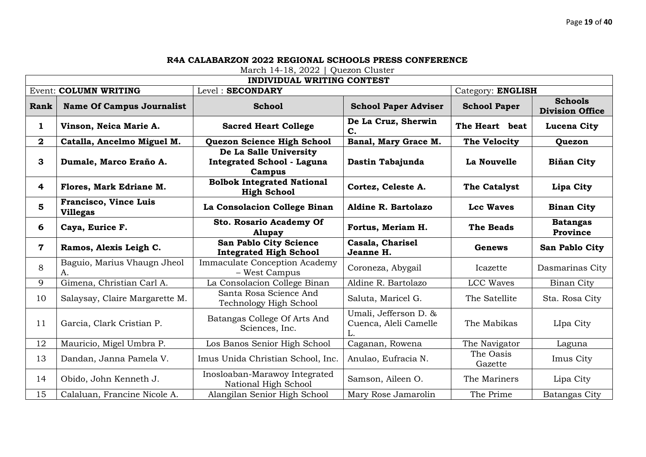|                         | <b>INDIVIDUAL WRITING CONTEST</b>               |                                                                       |                                                      |                      |                                          |
|-------------------------|-------------------------------------------------|-----------------------------------------------------------------------|------------------------------------------------------|----------------------|------------------------------------------|
|                         | <b>Event: COLUMN WRITING</b>                    | Level: SECONDARY                                                      |                                                      | Category: ENGLISH    |                                          |
| Rank                    | <b>Name Of Campus Journalist</b>                | <b>School</b>                                                         | <b>School Paper Adviser</b>                          | <b>School Paper</b>  | <b>Schools</b><br><b>Division Office</b> |
| $\mathbf{1}$            | Vinson, Neica Marie A.                          | <b>Sacred Heart College</b>                                           | De La Cruz, Sherwin<br>C.                            | The Heart beat       | Lucena City                              |
| $\overline{\mathbf{2}}$ | Catalla, Ancelmo Miguel M.                      | Quezon Science High School                                            | Banal, Mary Grace M.                                 | The Velocity         | Quezon                                   |
| $\mathbf{3}$            | Dumale, Marco Eraño A.                          | De La Salle University<br><b>Integrated School - Laguna</b><br>Campus | Dastin Tabajunda                                     | La Nouvelle          | <b>Biňan City</b>                        |
| 4                       | Flores, Mark Edriane M.                         | <b>Bolbok Integrated National</b><br><b>High School</b>               | Cortez, Celeste A.                                   | The Catalyst         | Lipa City                                |
| 5                       | <b>Francisco, Vince Luis</b><br><b>Villegas</b> | La Consolacion College Binan                                          | Aldine R. Bartolazo                                  | <b>Lcc Waves</b>     | <b>Binan City</b>                        |
| 6                       | Caya, Eurice F.                                 | <b>Sto. Rosario Academy Of</b><br><b>Alupay</b>                       | Fortus, Meriam H.                                    | The Beads            | <b>Batangas</b><br>Province              |
| $\overline{\mathbf{7}}$ | Ramos, Alexis Leigh C.                          | San Pablo City Science<br><b>Integrated High School</b>               | Casala, Charisel<br>Jeanne H.                        | <b>Genews</b>        | San Pablo City                           |
| 8                       | Baguio, Marius Vhaugn Jheol<br>А.               | <b>Immaculate Conception Academy</b><br>- West Campus                 | Coroneza, Abygail                                    | Icazette             | Dasmarinas City                          |
| 9                       | Gimena, Christian Carl A.                       | La Consolacion College Binan                                          | Aldine R. Bartolazo                                  | LCC Waves            | Binan City                               |
| 10                      | Salaysay, Claire Margarette M.                  | Santa Rosa Science And<br>Technology High School                      | Saluta, Maricel G.                                   | The Satellite        | Sta. Rosa City                           |
| 11                      | Garcia, Clark Cristian P.                       | Batangas College Of Arts And<br>Sciences, Inc.                        | Umali, Jefferson D. &<br>Cuenca, Aleli Camelle<br>L. | The Mabikas          | LIpa City                                |
| 12                      | Mauricio, Migel Umbra P.                        | Los Banos Senior High School                                          | Caganan, Rowena                                      | The Navigator        | Laguna                                   |
| 13                      | Dandan, Janna Pamela V.                         | Imus Unida Christian School, Inc.                                     | Anulao, Eufracia N.                                  | The Oasis<br>Gazette | Imus City                                |
| 14                      | Obido, John Kenneth J.                          | Inosloaban-Marawoy Integrated                                         | Samson, Aileen O.                                    | The Mariners         | Lipa City                                |
| 15                      | Calaluan, Francine Nicole A.                    | National High School<br>Alangilan Senior High School                  | Mary Rose Jamarolin                                  | The Prime            | Batangas City                            |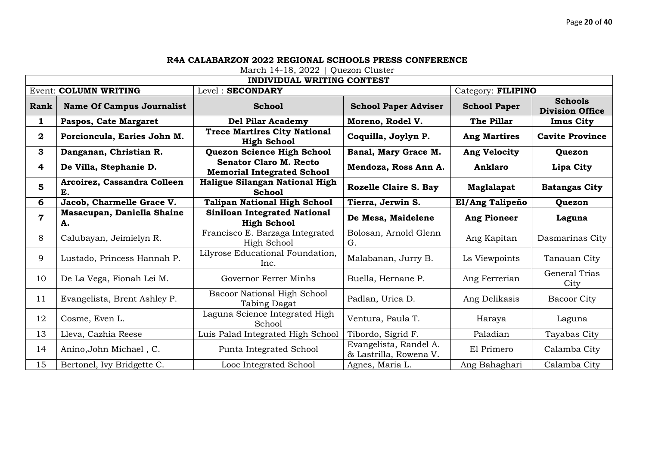|                |                                   | <b>INDIVIDUAL WRITING CONTEST</b>                                  |                                                  |                     |                                          |
|----------------|-----------------------------------|--------------------------------------------------------------------|--------------------------------------------------|---------------------|------------------------------------------|
|                | Event: COLUMN WRITING             | Level: SECONDARY                                                   |                                                  | Category: FILIPINO  |                                          |
| Rank           | <b>Name Of Campus Journalist</b>  | <b>School</b>                                                      | <b>School Paper Adviser</b>                      | <b>School Paper</b> | <b>Schools</b><br><b>Division Office</b> |
| $\mathbf{1}$   | Paspos, Cate Margaret             | <b>Del Pilar Academy</b>                                           | Moreno, Rodel V.                                 | The Pillar          | <b>Imus City</b>                         |
| $\mathbf{2}$   | Porcioncula, Earies John M.       | <b>Trece Martires City National</b><br><b>High School</b>          | Coquilla, Joylyn P.                              | <b>Ang Martires</b> | <b>Cavite Province</b>                   |
| 3              | Danganan, Christian R.            | Quezon Science High School                                         | Banal, Mary Grace M.                             | Ang Velocity        | Quezon                                   |
| 4              | De Villa, Stephanie D.            | <b>Senator Claro M. Recto</b><br><b>Memorial Integrated School</b> | Mendoza, Ross Ann A.                             | <b>Anklaro</b>      | Lipa City                                |
| 5              | Arcoirez, Cassandra Colleen<br>E. | Haligue Silangan National High<br><b>School</b>                    | Rozelle Claire S. Bay                            | Maglalapat          | <b>Batangas City</b>                     |
| 6              | Jacob, Charmelle Grace V.         | <b>Talipan National High School</b>                                | Tierra, Jerwin S.                                | El/Ang Talipeño     | Quezon                                   |
| $\overline{7}$ | Masacupan, Daniella Shaine<br>A.  | <b>Siniloan Integrated National</b><br><b>High School</b>          | De Mesa, Maidelene                               | <b>Ang Pioneer</b>  | Laguna                                   |
| 8              | Calubayan, Jeimielyn R.           | Francisco E. Barzaga Integrated<br>High School                     | Bolosan, Arnold Glenn<br>G.                      | Ang Kapitan         | Dasmarinas City                          |
| 9              | Lustado, Princess Hannah P.       | Lilyrose Educational Foundation,<br>Inc.                           | Malabanan, Jurry B.                              | Ls Viewpoints       | Tanauan City                             |
| 10             | De La Vega, Fionah Lei M.         | Governor Ferrer Minhs                                              | Buella, Hernane P.                               | Ang Ferrerian       | General Trias<br>City                    |
| 11             | Evangelista, Brent Ashley P.      | Bacoor National High School<br>Tabing Dagat                        | Padlan, Urica D.                                 | Ang Delikasis       | Bacoor City                              |
| 12             | Cosme, Even L.                    | Laguna Science Integrated High<br>School                           | Ventura, Paula T.                                | Haraya              | Laguna                                   |
| 13             | Lleva, Cazhia Reese               | Luis Palad Integrated High School                                  | Tibordo, Sigrid F.                               | Paladian            | Tayabas City                             |
| 14             | Anino, John Michael, C.           | Punta Integrated School                                            | Evangelista, Randel A.<br>& Lastrilla, Rowena V. | El Primero          | Calamba City                             |
| 15             | Bertonel, Ivy Bridgette C.        | Looc Integrated School                                             | Agnes, Maria L.                                  | Ang Bahaghari       | Calamba City                             |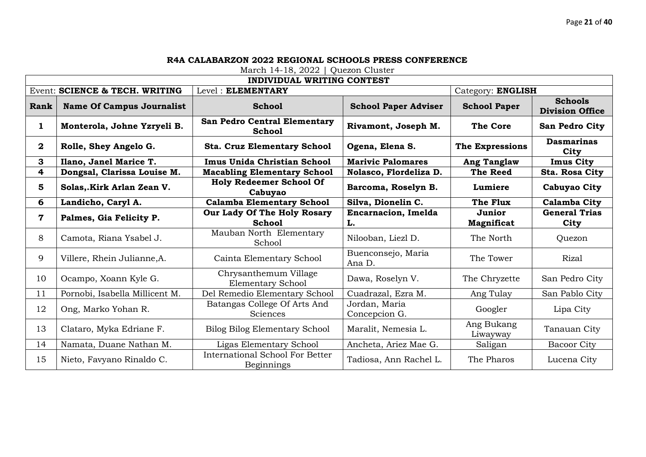|                         |                                  | <b>INDIVIDUAL WRITING CONTEST</b>                           |                                  |                        |                                          |
|-------------------------|----------------------------------|-------------------------------------------------------------|----------------------------------|------------------------|------------------------------------------|
|                         | Event: SCIENCE & TECH. WRITING   | Level: ELEMENTARY                                           |                                  | Category: ENGLISH      |                                          |
| Rank                    | <b>Name Of Campus Journalist</b> | <b>School</b>                                               | <b>School Paper Adviser</b>      | <b>School Paper</b>    | <b>Schools</b><br><b>Division Office</b> |
| 1                       | Monterola, Johne Yzryeli B.      | San Pedro Central Elementary<br><b>School</b>               | Rivamont, Joseph M.              | <b>The Core</b>        | San Pedro City                           |
| $\boldsymbol{2}$        | Rolle, Shey Angelo G.            | <b>Sta. Cruz Elementary School</b>                          | Ogena, Elena S.                  | The Expressions        | <b>Dasmarinas</b><br>City                |
| 3                       | Ilano, Janel Marice T.           | Imus Unida Christian School                                 | <b>Marivic Palomares</b>         | <b>Ang Tanglaw</b>     | <b>Imus City</b>                         |
| $\overline{\mathbf{r}}$ | Dongsal, Clarissa Louise M.      | <b>Macabling Elementary School</b>                          | Nolasco, Flordeliza D.           | <b>The Reed</b>        | Sta. Rosa City                           |
| 5                       | Solas,.Kirk Arlan Zean V.        | <b>Holy Redeemer School Of</b><br>Cabuyao                   | Barcoma, Roselyn B.              | Lumiere                | Cabuyao City                             |
| 6                       | Landicho, Caryl A.               | <b>Calamba Elementary School</b>                            | Silva, Dionelin C.               | The Flux               | Calamba City                             |
| $\mathbf 7$             | Palmes, Gia Felicity P.          | Our Lady Of The Holy Rosary<br><b>School</b>                | <b>Encarnacion, Imelda</b><br>L. | Junior<br>Magnificat   | <b>General Trias</b><br>City             |
| 8                       | Camota, Riana Ysabel J.          | Mauban North Elementary<br>School                           | Nilooban, Liezl D.               | The North              | Quezon                                   |
| 9                       | Villere, Rhein Julianne, A.      | Cainta Elementary School                                    | Buenconsejo, Maria<br>Ana D.     | The Tower              | <b>Rizal</b>                             |
| 10                      | Ocampo, Xoann Kyle G.            | Chrysanthemum Village<br>Elementary School                  | Dawa, Roselyn V.                 | The Chryzette          | San Pedro City                           |
| 11                      | Pornobi, Isabella Millicent M.   | Del Remedio Elementary School                               | Cuadrazal, Ezra M.               | Ang Tulay              | San Pablo City                           |
| 12                      | Ong, Marko Yohan R.              | Batangas College Of Arts And<br>Sciences                    | Jordan, Maria<br>Concepcion G.   | Googler                | Lipa City                                |
| 13                      | Clataro, Myka Edriane F.         | <b>Bilog Bilog Elementary School</b>                        | Maralit, Nemesia L.              | Ang Bukang<br>Liwayway | Tanauan City                             |
| 14                      | Namata, Duane Nathan M.          | Ligas Elementary School                                     | Ancheta, Ariez Mae G.            | Saligan                | <b>Bacoor City</b>                       |
| 15                      | Nieto, Favyano Rinaldo C.        | <b>International School For Better</b><br><b>Beginnings</b> | Tadiosa, Ann Rachel L.           | The Pharos             | Lucena City                              |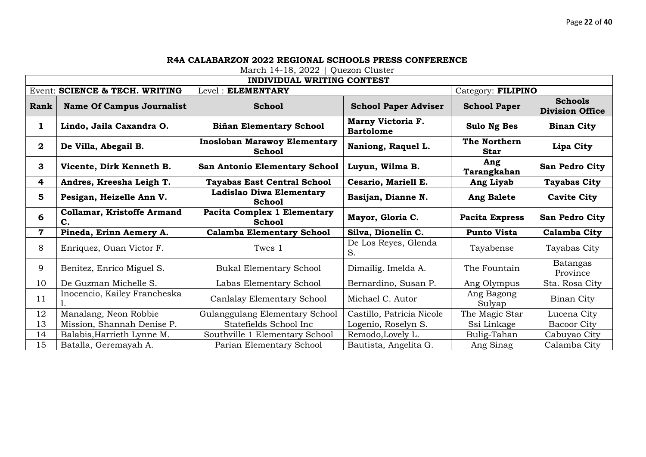|              |                                         | <b>INDIVIDUAL WRITING CONTEST</b>                    |                                       |                      |                                          |
|--------------|-----------------------------------------|------------------------------------------------------|---------------------------------------|----------------------|------------------------------------------|
|              | Event: SCIENCE & TECH. WRITING          | Level: ELEMENTARY                                    |                                       | Category: FILIPINO   |                                          |
| Rank         | <b>Name Of Campus Journalist</b>        | <b>School</b>                                        | <b>School Paper Adviser</b>           | <b>School Paper</b>  | <b>Schools</b><br><b>Division Office</b> |
| 1            | Lindo, Jaila Caxandra O.                | <b>Biñan Elementary School</b>                       | Marny Victoria F.<br><b>Bartolome</b> | <b>Sulo Ng Bes</b>   | <b>Binan City</b>                        |
| $\mathbf{2}$ | De Villa, Abegail B.                    | <b>Inosloban Marawoy Elementary</b><br><b>School</b> | Naniong, Raquel L.                    | The Northern<br>Star | Lipa City                                |
| 3            | Vicente, Dirk Kenneth B.                | <b>San Antonio Elementary School</b>                 | Luyun, Wilma B.                       | Ang<br>Tarangkahan   | San Pedro City                           |
| 4            | Andres, Kreesha Leigh T.                | <b>Tayabas East Central School</b>                   | Cesario, Mariell E.                   | Ang Liyab            | <b>Tayabas City</b>                      |
| 5            | Pesigan, Heizelle Ann V.                | Ladislao Diwa Elementary<br><b>School</b>            | Basijan, Dianne N.                    | <b>Ang Balete</b>    | <b>Cavite City</b>                       |
| 6            | <b>Collamar, Kristoffe Armand</b><br>C. | <b>Pacita Complex 1 Elementary</b><br><b>School</b>  | Mayor, Gloria C.                      | Pacita Express       | San Pedro City                           |
| 7            | Pineda, Erinn Aemery A.                 | <b>Calamba Elementary School</b>                     | Silva, Dionelin C.                    | <b>Punto Vista</b>   | Calamba City                             |
| 8            | Enriquez, Ouan Victor F.                | Twcs 1                                               | De Los Reyes, Glenda<br>S.            | Tayabense            | Tayabas City                             |
| 9            | Benitez, Enrico Miguel S.               | <b>Bukal Elementary School</b>                       | Dimailig. Imelda A.                   | The Fountain         | Batangas<br>Province                     |
| 10           | De Guzman Michelle S.                   | Labas Elementary School                              | Bernardino, Susan P.                  | Ang Olympus          | Sta. Rosa City                           |
| 11           | Inocencio, Kailey Francheska            | Canlalay Elementary School                           | Michael C. Autor                      | Ang Bagong<br>Sulyap | Binan City                               |
| 12           | Manalang, Neon Robbie                   | Gulanggulang Elementary School                       | Castillo, Patricia Nicole             | The Magic Star       | Lucena City                              |
| 13           | Mission, Shannah Denise P.              | Statefields School Inc                               | Logenio, Roselyn S.                   | Ssi Linkage          | <b>Bacoor City</b>                       |
| 14           | Balabis, Harrieth Lynne M.              | Southville 1 Elementary School                       | Remodo, Lovely L.                     | Bulig-Tahan          | Cabuyao City                             |
| 15           | Batalla, Geremayah A.                   | Parian Elementary School                             | Bautista, Angelita G.                 | Ang Sinag            | Calamba City                             |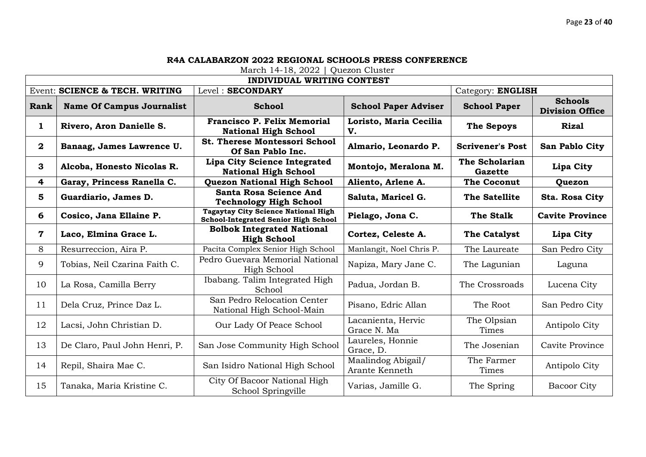|              | <b>INDIVIDUAL WRITING CONTEST</b> |                                                                                           |                                      |                                  |                                          |
|--------------|-----------------------------------|-------------------------------------------------------------------------------------------|--------------------------------------|----------------------------------|------------------------------------------|
|              | Event: SCIENCE & TECH. WRITING    | Level: SECONDARY                                                                          |                                      | Category: ENGLISH                |                                          |
| Rank         | <b>Name Of Campus Journalist</b>  | <b>School</b>                                                                             | <b>School Paper Adviser</b>          | <b>School Paper</b>              | <b>Schools</b><br><b>Division Office</b> |
| $\mathbf{1}$ | Rivero, Aron Danielle S.          | <b>Francisco P. Felix Memorial</b><br><b>National High School</b>                         | Loristo, Maria Cecilia<br>V.         | <b>The Sepoys</b>                | <b>Rizal</b>                             |
| $\mathbf{2}$ | Banaag, James Lawrence U.         | <b>St. Therese Montessori School</b><br>Of San Pablo Inc.                                 | Almario, Leonardo P.                 | <b>Scrivener's Post</b>          | San Pablo City                           |
| 3            | Alcoba, Honesto Nicolas R.        | <b>Lipa City Science Integrated</b><br><b>National High School</b>                        | Montojo, Meralona M.                 | The Scholarian<br><b>Gazette</b> | Lipa City                                |
| 4            | Garay, Princess Ranella C.        | <b>Quezon National High School</b>                                                        | Aliento, Arlene A.                   | <b>The Coconut</b>               | Quezon                                   |
| 5            | Guardiario, James D.              | <b>Santa Rosa Science And</b><br><b>Technology High School</b>                            | Saluta, Maricel G.                   | The Satellite                    | Sta. Rosa City                           |
| 6            | Cosico, Jana Ellaine P.           | <b>Tagaytay City Science National High</b><br><b>School-Integrated Senior High School</b> | Pielago, Jona C.                     | The Stalk                        | <b>Cavite Province</b>                   |
| 7            | Laco, Elmina Grace L.             | <b>Bolbok Integrated National</b><br><b>High School</b>                                   | Cortez, Celeste A.                   | <b>The Catalyst</b>              | Lipa City                                |
| 8            | Resurreccion, Aira P.             | Pacita Complex Senior High School                                                         | Manlangit, Noel Chris P.             | The Laureate                     | San Pedro City                           |
| 9            | Tobias, Neil Czarina Faith C.     | Pedro Guevara Memorial National<br>High School                                            | Napiza, Mary Jane C.                 | The Lagunian                     | Laguna                                   |
| 10           | La Rosa, Camilla Berry            | Ibabang. Talim Integrated High<br>School                                                  | Padua, Jordan B.                     | The Crossroads                   | Lucena City                              |
| 11           | Dela Cruz, Prince Daz L.          | San Pedro Relocation Center<br>National High School-Main                                  | Pisano, Edric Allan                  | The Root                         | San Pedro City                           |
| 12           | Lacsi, John Christian D.          | Our Lady Of Peace School                                                                  | Lacanienta, Hervic<br>Grace N. Ma    | The Olpsian<br>Times             | Antipolo City                            |
| 13           | De Claro, Paul John Henri, P.     | San Jose Community High School                                                            | Laureles, Honnie<br>Grace, D.        | The Josenian                     | Cavite Province                          |
| 14           | Repil, Shaira Mae C.              | San Isidro National High School                                                           | Maalindog Abigail/<br>Arante Kenneth | The Farmer<br>Times              | Antipolo City                            |
| 15           | Tanaka, Maria Kristine C.         | City Of Bacoor National High<br>School Springville                                        | Varias, Jamille G.                   | The Spring                       | <b>Bacoor City</b>                       |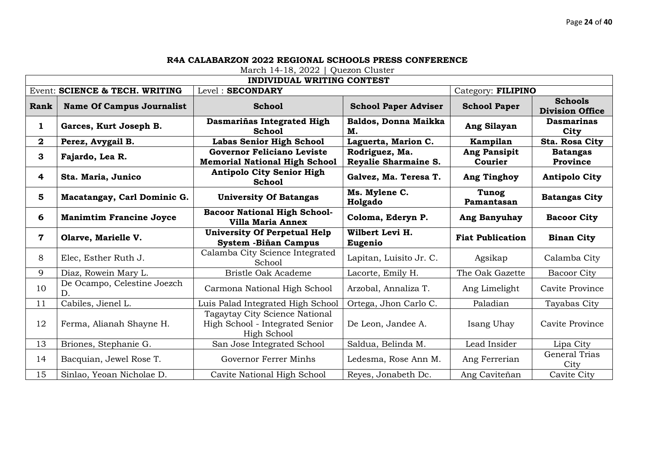|              |                                   | <b>INDIVIDUAL WRITING CONTEST</b>                                                |                                        |                                |                                          |
|--------------|-----------------------------------|----------------------------------------------------------------------------------|----------------------------------------|--------------------------------|------------------------------------------|
|              | Event: SCIENCE & TECH. WRITING    | Level: SECONDARY                                                                 |                                        | Category: FILIPINO             |                                          |
| Rank         | <b>Name Of Campus Journalist</b>  | <b>School</b>                                                                    | <b>School Paper Adviser</b>            | <b>School Paper</b>            | <b>Schools</b><br><b>Division Office</b> |
| $\mathbf{1}$ | Garces, Kurt Joseph B.            | Dasmariñas Integrated High<br><b>School</b>                                      | Baldos, Donna Maikka<br>М.             | Ang Silayan                    | <b>Dasmarinas</b><br>City                |
| $\mathbf{2}$ | Perez, Avygail B.                 | <b>Labas Senior High School</b>                                                  | Laguerta, Marion C.                    | Kampilan                       | Sta. Rosa City                           |
| 3            | Fajardo, Lea R.                   | <b>Governor Feliciano Leviste</b><br><b>Memorial National High School</b>        | Rodriguez, Ma.<br>Reyalie Sharmaine S. | <b>Ang Pansipit</b><br>Courier | <b>Batangas</b><br>Province              |
| 4            | Sta. Maria, Junico                | <b>Antipolo City Senior High</b><br><b>School</b>                                | Galvez, Ma. Teresa T.                  | Ang Tinghoy                    | <b>Antipolo City</b>                     |
| 5            | Macatangay, Carl Dominic G.       | <b>University Of Batangas</b>                                                    | Ms. Mylene C.<br>Holgado               | <b>Tunog</b><br>Pamantasan     | <b>Batangas City</b>                     |
| 6            | <b>Manimtim Francine Joyce</b>    | <b>Bacoor National High School-</b><br><b>Villa Maria Annex</b>                  | Coloma, Ederyn P.                      | Ang Banyuhay                   | <b>Bacoor City</b>                       |
|              |                                   |                                                                                  |                                        |                                |                                          |
| $\mathbf 7$  | Olarve, Marielle V.               | <b>University Of Perpetual Help</b><br>System - Biñan Campus                     | Wilbert Levi H.<br>Eugenio             | <b>Fiat Publication</b>        | <b>Binan City</b>                        |
| 8            | Elec, Esther Ruth J.              | Calamba City Science Integrated<br>School                                        | Lapitan, Luisito Jr. C.                | Agsikap                        | Calamba City                             |
| 9            | Diaz, Rowein Mary L.              | <b>Bristle Oak Academe</b>                                                       | Lacorte, Emily H.                      | The Oak Gazette                | <b>Bacoor City</b>                       |
| 10           | De Ocampo, Celestine Joezch<br>D. | Carmona National High School                                                     | Arzobal, Annaliza T.                   | Ang Limelight                  | Cavite Province                          |
| 11           | Cabiles, Jienel L.                | Luis Palad Integrated High School                                                | Ortega, Jhon Carlo C.                  | Paladian                       | Tayabas City                             |
| 12           | Ferma, Alianah Shayne H.          | Tagaytay City Science National<br>High School - Integrated Senior<br>High School | De Leon, Jandee A.                     | Isang Uhay                     | Cavite Province                          |
| 13           | Briones, Stephanie G.             | San Jose Integrated School                                                       | Saldua, Belinda M.                     | Lead Insider                   | Lipa City                                |
| 14           | Bacquian, Jewel Rose T.           | Governor Ferrer Minhs                                                            | Ledesma, Rose Ann M.                   | Ang Ferrerian                  | General Trias<br>City                    |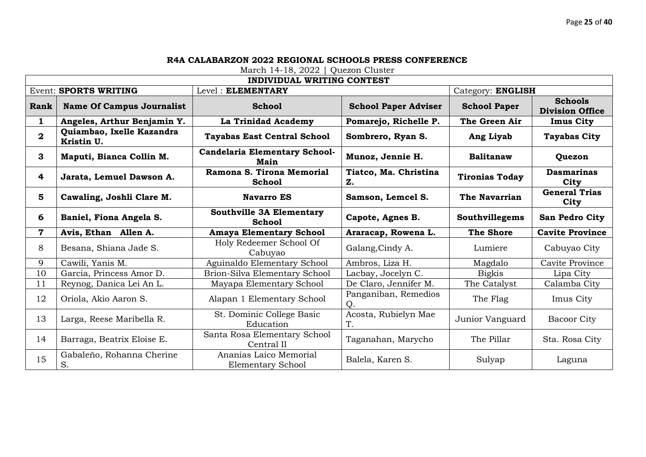| <b>INDIVIDUAL WRITING CONTEST</b>                 |                                         |                                                  |                             |                       |                                          |  |
|---------------------------------------------------|-----------------------------------------|--------------------------------------------------|-----------------------------|-----------------------|------------------------------------------|--|
| Level: ELEMENTARY<br><b>Event: SPORTS WRITING</b> |                                         | Category: ENGLISH                                |                             |                       |                                          |  |
| Rank                                              | <b>Name Of Campus Journalist</b>        | <b>School</b>                                    | <b>School Paper Adviser</b> | <b>School Paper</b>   | <b>Schools</b><br><b>Division Office</b> |  |
| $\mathbf{1}$                                      | Angeles, Arthur Benjamin Y.             | La Trinidad Academy                              | Pomarejo, Richelle P.       | The Green Air         | <b>Imus City</b>                         |  |
| $\mathbf{2}$                                      | Quiambao, Ixelle Kazandra<br>Kristin U. | <b>Tayabas East Central School</b>               | Sombrero, Ryan S.           | Ang Liyab             | <b>Tayabas City</b>                      |  |
| 3                                                 | Maputi, Bianca Collin M.                | <b>Candelaria Elementary School-</b><br>Main     | Munoz, Jennie H.            | <b>Balitanaw</b>      | Quezon                                   |  |
| 4                                                 | Jarata, Lemuel Dawson A.                | Ramona S. Tirona Memorial<br>School              | Tiatco, Ma. Christina<br>Z. | <b>Tironias Today</b> | <b>Dasmarinas</b><br>City                |  |
| 5                                                 | Cawaling, Joshli Clare M.               | <b>Navarro ES</b>                                | Samson, Lemcel S.           | The Navarrian         | <b>General Trias</b><br>City             |  |
| 6                                                 | Baniel, Fiona Angela S.                 | <b>Southville 3A Elementary</b><br><b>School</b> | Capote, Agnes B.            | Southvillegems        | <b>San Pedro City</b>                    |  |
| $\mathbf 7$                                       | Avis, Ethan Allen A.                    | <b>Amaya Elementary School</b>                   | Araracap, Rowena L.         | <b>The Shore</b>      | <b>Cavite Province</b>                   |  |
| 8                                                 | Besana, Shiana Jade S.                  | Holy Redeemer School Of<br>Cabuyao               | Galang, Cindy A.            | Lumiere               | Cabuyao City                             |  |
| 9                                                 | Cawili, Yanis M.                        | Aguinaldo Elementary School                      | Ambros, Liza H.             | Magdalo               | Cavite Province                          |  |
| 10                                                | Garcia, Princess Amor D.                | Brion-Silva Elementary School                    | Lacbay, Jocelyn C.          | <b>Bigkis</b>         | Lipa City                                |  |
| 11                                                | Reynog, Danica Lei An L.                | Mayapa Elementary School                         | De Claro, Jennifer M.       | The Catalyst          | Calamba City                             |  |
| 12                                                | Oriola, Akio Aaron S.                   | Alapan 1 Elementary School                       | Panganiban, Remedios<br>Q.  | The Flag              | Imus City                                |  |
| 13                                                | Larga, Reese Maribella R.               | St. Dominic College Basic<br>Education           | Acosta, Rubielyn Mae<br>T.  | Junior Vanguard       | <b>Bacoor City</b>                       |  |
| 14                                                | Barraga, Beatrix Eloise E.              | Santa Rosa Elementary School<br>Central II       | Taganahan, Marycho          | The Pillar            | Sta. Rosa City                           |  |
| 15                                                | Gabaleño, Rohanna Cherine<br>S.         | Ananias Laico Memorial<br>Elementary School      | Balela, Karen S.            | Sulyap                | Laguna                                   |  |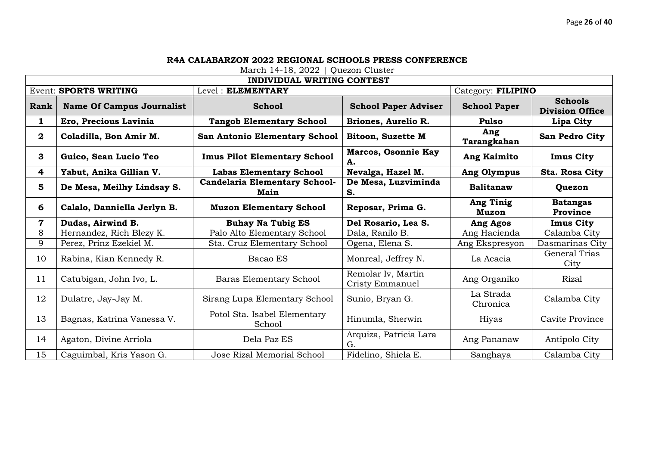|                                                   | <b>INDIVIDUAL WRITING CONTEST</b> |                                              |                                       |                           |                                          |  |  |
|---------------------------------------------------|-----------------------------------|----------------------------------------------|---------------------------------------|---------------------------|------------------------------------------|--|--|
| <b>Event: SPORTS WRITING</b><br>Level: ELEMENTARY |                                   |                                              | Category: FILIPINO                    |                           |                                          |  |  |
| Rank                                              | <b>Name Of Campus Journalist</b>  | <b>School</b>                                | <b>School Paper Adviser</b>           | <b>School Paper</b>       | <b>Schools</b><br><b>Division Office</b> |  |  |
| 1                                                 | Ero, Precious Lavinia             | <b>Tangob Elementary School</b>              | Briones, Aurelio R.                   | <b>Pulso</b>              | Lipa City                                |  |  |
| $\mathbf{2}$                                      | Coladilla, Bon Amir M.            | <b>San Antonio Elementary School</b>         | <b>Bitoon, Suzette M</b>              | Ang<br>Tarangkahan        | San Pedro City                           |  |  |
| 3                                                 | Guico, Sean Lucio Teo             | <b>Imus Pilot Elementary School</b>          | Marcos, Osonnie Kay<br>А.             | <b>Ang Kaimito</b>        | <b>Imus City</b>                         |  |  |
| 4                                                 | Yabut, Anika Gillian V.           | <b>Labas Elementary School</b>               | Nevalga, Hazel M.                     | Ang Olympus               | Sta. Rosa City                           |  |  |
| 5                                                 | De Mesa, Meilhy Lindsay S.        | <b>Candelaria Elementary School-</b><br>Main | De Mesa, Luzviminda<br>S.             | <b>Balitanaw</b>          | Quezon                                   |  |  |
| 6                                                 | Calalo, Danniella Jerlyn B.       | <b>Muzon Elementary School</b>               | Reposar, Prima G.                     | <b>Ang Tinig</b><br>Muzon | <b>Batangas</b><br><b>Province</b>       |  |  |
| $\mathbf 7$                                       | Dudas, Airwind B.                 | <b>Buhay Na Tubig ES</b>                     | Del Rosario, Lea S.                   | Ang Agos                  | <b>Imus City</b>                         |  |  |
| 8                                                 |                                   |                                              |                                       |                           |                                          |  |  |
|                                                   | Hernandez, Rich Blezy K.          | Palo Alto Elementary School                  | Dala, Ranilo B.                       | Ang Hacienda              | Calamba City                             |  |  |
| 9                                                 | Perez, Prinz Ezekiel M.           | Sta. Cruz Elementary School                  | Ogena, Elena S.                       | Ang Ekspresyon            | Dasmarinas City                          |  |  |
| 10                                                | Rabina, Kian Kennedy R.           | Bacao ES                                     | Monreal, Jeffrey N.                   | La Acacia                 | General Trias<br>City                    |  |  |
| 11                                                | Catubigan, John Ivo, L.           | Baras Elementary School                      | Remolar Iv, Martin<br>Cristy Emmanuel | Ang Organiko              | Rizal                                    |  |  |
| 12                                                | Dulatre, Jay-Jay M.               | Sirang Lupa Elementary School                | Sunio, Bryan G.                       | La Strada<br>Chronica     | Calamba City                             |  |  |
| 13                                                | Bagnas, Katrina Vanessa V.        | Potol Sta. Isabel Elementary<br>School       | Hinumla, Sherwin                      | Hiyas                     | Cavite Province                          |  |  |
| 14                                                | Agaton, Divine Arriola            | Dela Paz ES                                  | Arquiza, Patricia Lara<br>G.          | Ang Pananaw               | Antipolo City                            |  |  |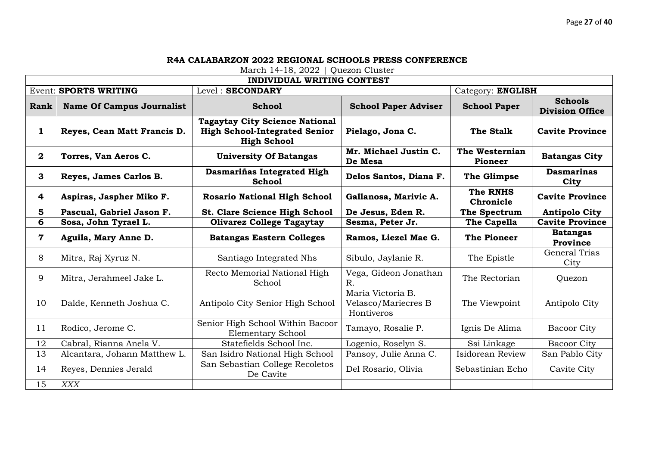| <b>INDIVIDUAL WRITING CONTEST</b>                |                                  |                                                                                                     |                                                        |                                  |                                          |  |
|--------------------------------------------------|----------------------------------|-----------------------------------------------------------------------------------------------------|--------------------------------------------------------|----------------------------------|------------------------------------------|--|
| Level: SECONDARY<br><b>Event: SPORTS WRITING</b> |                                  | Category: ENGLISH                                                                                   |                                                        |                                  |                                          |  |
| Rank                                             | <b>Name Of Campus Journalist</b> | <b>School</b>                                                                                       | <b>School Paper Adviser</b>                            | <b>School Paper</b>              | <b>Schools</b><br><b>Division Office</b> |  |
| $\mathbf{1}$                                     | Reyes, Cean Matt Francis D.      | <b>Tagaytay City Science National</b><br><b>High School-Integrated Senior</b><br><b>High School</b> | Pielago, Jona C.                                       | The Stalk                        | <b>Cavite Province</b>                   |  |
| $\mathbf{2}$                                     | Torres, Van Aeros C.             | <b>University Of Batangas</b>                                                                       | Mr. Michael Justin C.<br>De Mesa                       | The Westernian<br><b>Pioneer</b> | <b>Batangas City</b>                     |  |
| 3                                                | Reyes, James Carlos B.           | Dasmariñas Integrated High<br><b>School</b>                                                         | Delos Santos, Diana F.                                 | The Glimpse                      | <b>Dasmarinas</b><br>City                |  |
| $\overline{\mathbf{4}}$                          | Aspiras, Jaspher Miko F.         | <b>Rosario National High School</b>                                                                 | Gallanosa, Marivic A.                                  | <b>The RNHS</b><br>Chronicle     | <b>Cavite Province</b>                   |  |
| 5                                                | Pascual, Gabriel Jason F.        | <b>St. Clare Science High School</b>                                                                | De Jesus, Eden R.                                      | The Spectrum                     | <b>Antipolo City</b>                     |  |
| 6                                                | Sosa, John Tyrael L.             | <b>Olivarez College Tagaytay</b>                                                                    | Sesma, Peter Jr.                                       | The Capella                      | <b>Cavite Province</b>                   |  |
| $\mathbf 7$                                      | Aguila, Mary Anne D.             | <b>Batangas Eastern Colleges</b>                                                                    | Ramos, Liezel Mae G.                                   | <b>The Pioneer</b>               | <b>Batangas</b><br>Province              |  |
| 8                                                | Mitra, Raj Xyruz N.              | Santiago Integrated Nhs                                                                             | Sibulo, Jaylanie R.                                    | The Epistle                      | <b>General Trias</b><br>City             |  |
| 9                                                | Mitra, Jerahmeel Jake L.         | Recto Memorial National High<br>School                                                              | Vega, Gideon Jonathan<br>R.                            | The Rectorian                    | Quezon                                   |  |
| 10                                               | Dalde, Kenneth Joshua C.         | Antipolo City Senior High School                                                                    | Maria Victoria B.<br>Velasco/Mariecres B<br>Hontiveros | The Viewpoint                    | Antipolo City                            |  |
| 11                                               | Rodico, Jerome C.                | Senior High School Within Bacoor<br><b>Elementary School</b>                                        | Tamayo, Rosalie P.                                     | Ignis De Alima                   | <b>Bacoor City</b>                       |  |
| 12                                               | Cabral, Rianna Anela V.          | Statefields School Inc.                                                                             | Logenio, Roselyn S.                                    | Ssi Linkage                      | <b>Bacoor City</b>                       |  |
| 13                                               | Alcantara, Johann Matthew L.     | San Isidro National High School                                                                     | Pansoy, Julie Anna C.                                  | Isidorean Review                 | San Pablo City                           |  |
| 14                                               | Reyes, Dennies Jerald            | San Sebastian College Recoletos<br>De Cavite                                                        | Del Rosario, Olivia                                    | Sebastinian Echo                 | Cavite City                              |  |
| 15                                               | <b>XXX</b>                       |                                                                                                     |                                                        |                                  |                                          |  |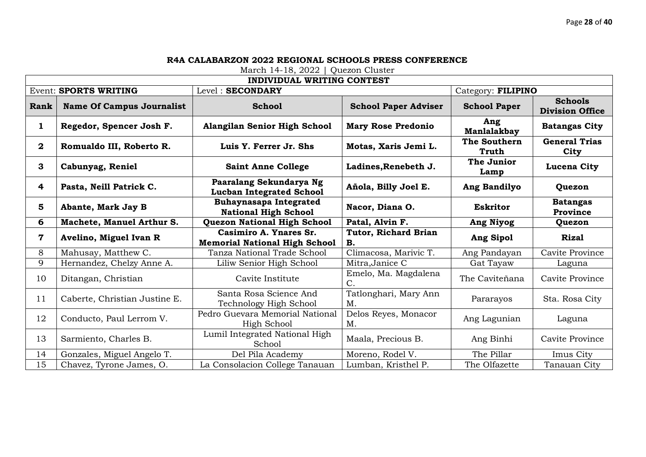|             | <b>INDIVIDUAL WRITING CONTEST</b> |                                                                |                             |                       |                                          |  |  |
|-------------|-----------------------------------|----------------------------------------------------------------|-----------------------------|-----------------------|------------------------------------------|--|--|
|             | <b>Event: SPORTS WRITING</b>      | Level: SECONDARY                                               |                             | Category: FILIPINO    |                                          |  |  |
| Rank        | <b>Name Of Campus Journalist</b>  | <b>School</b>                                                  | <b>School Paper Adviser</b> | <b>School Paper</b>   | <b>Schools</b><br><b>Division Office</b> |  |  |
| 1           | Regedor, Spencer Josh F.          | Alangilan Senior High School                                   | <b>Mary Rose Predonio</b>   | Ang<br>Manlalakbay    | <b>Batangas City</b>                     |  |  |
| $\mathbf 2$ | Romualdo III, Roberto R.          | Luis Y. Ferrer Jr. Shs                                         | Motas, Xaris Jemi L.        | The Southern<br>Truth | <b>General Trias</b><br>City             |  |  |
| 3           | Cabunyag, Reniel                  | <b>Saint Anne College</b>                                      | Ladines, Renebeth J.        | The Junior<br>Lamp    | Lucena City                              |  |  |
| 4           | Pasta, Neill Patrick C.           | Paaralang Sekundarya Ng<br><b>Lucban Integrated School</b>     | Añola, Billy Joel E.        | Ang Bandilyo          | Quezon                                   |  |  |
| 5           | Abante, Mark Jay B                | <b>Buhaynasapa Integrated</b><br><b>National High School</b>   | Nacor, Diana O.             | <b>Eskritor</b>       | <b>Batangas</b><br>Province              |  |  |
| 6           | Machete, Manuel Arthur S.         | <b>Quezon National High School</b>                             | Patal, Alvin F.             | Ang Niyog             | Quezon                                   |  |  |
| 7           | Avelino, Miguel Ivan R            | Casimiro A. Ynares Sr.<br><b>Memorial National High School</b> | Tutor, Richard Brian<br>В.  | Ang Sipol             | <b>Rizal</b>                             |  |  |
| 8           | Mahusay, Matthew C.               | Tanza National Trade School                                    | Climacosa, Marivic T.       | Ang Pandayan          | Cavite Province                          |  |  |
| 9           | Hernandez, Chelzy Anne A.         | Liliw Senior High School                                       | Mitra, Janice C             | Gat Tayaw             | Laguna                                   |  |  |
| 10          | Ditangan, Christian               | Cavite Institute                                               | Emelo, Ma. Magdalena<br>C.  | The Caviteñana        | Cavite Province                          |  |  |
| 11          | Caberte, Christian Justine E.     | Santa Rosa Science And<br>Technology High School               | Tatlonghari, Mary Ann<br>M. | Pararayos             | Sta. Rosa City                           |  |  |
| 12          | Conducto, Paul Lerrom V.          | Pedro Guevara Memorial National<br>High School                 | Delos Reyes, Monacor<br>M.  | Ang Lagunian          | Laguna                                   |  |  |
| 13          | Sarmiento, Charles B.             | Lumil Integrated National High<br>School                       | Maala, Precious B.          | Ang Binhi             | Cavite Province                          |  |  |
| 14          | Gonzales, Miguel Angelo T.        | Del Pila Academy                                               | Moreno, Rodel V.            | The Pillar            | Imus City                                |  |  |
| 15          | Chavez, Tyrone James, O.          | La Consolacion College Tanauan                                 | Lumban, Kristhel P.         | The Olfazette         | Tanauan City                             |  |  |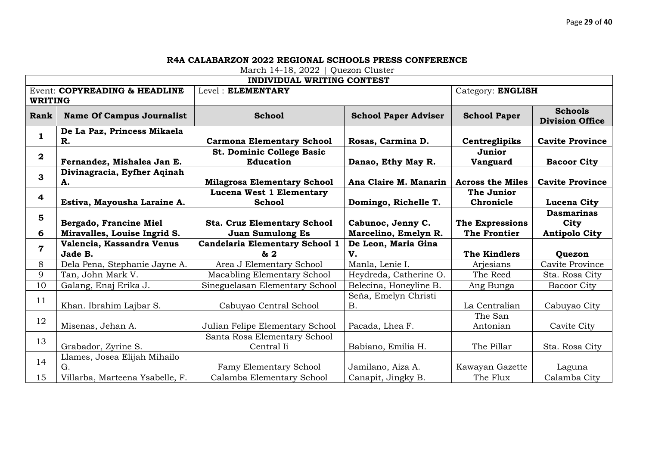|                                                 | <b>INDIVIDUAL WRITING CONTEST</b>    |                                               |                                   |                           |                                          |  |  |
|-------------------------------------------------|--------------------------------------|-----------------------------------------------|-----------------------------------|---------------------------|------------------------------------------|--|--|
| Event: COPYREADING & HEADLINE<br><b>WRITING</b> |                                      | Level: ELEMENTARY                             |                                   | Category: ENGLISH         |                                          |  |  |
| Rank                                            | <b>Name Of Campus Journalist</b>     | <b>School</b>                                 | <b>School Paper Adviser</b>       | <b>School Paper</b>       | <b>Schools</b><br><b>Division Office</b> |  |  |
| $\mathbf{1}$                                    | De La Paz, Princess Mikaela<br>R.    | <b>Carmona Elementary School</b>              | Rosas, Carmina D.                 | Centreglipiks             | <b>Cavite Province</b>                   |  |  |
| $\mathbf{2}$                                    | Fernandez, Mishalea Jan E.           | St. Dominic College Basic<br><b>Education</b> | Danao, Ethy May R.                | Junior<br><b>Vanguard</b> | <b>Bacoor City</b>                       |  |  |
| 3                                               | Divinagracia, Eyfher Aqinah<br>А.    | <b>Milagrosa Elementary School</b>            | Ana Claire M. Manarin             | <b>Across the Miles</b>   | <b>Cavite Province</b>                   |  |  |
| $\overline{\mathbf{4}}$                         | Estiva, Mayousha Laraine A.          | Lucena West 1 Elementary<br><b>School</b>     | Domingo, Richelle T.              | The Junior<br>Chronicle   | Lucena City                              |  |  |
| 5                                               | Bergado, Francine Miel               | <b>Sta. Cruz Elementary School</b>            | Cabunoc, Jenny C.                 | <b>The Expressions</b>    | <b>Dasmarinas</b><br>City                |  |  |
|                                                 |                                      |                                               |                                   |                           |                                          |  |  |
| 6                                               | Miravalles, Louise Ingrid S.         | <b>Juan Sumulong Es</b>                       | Marcelino, Emelyn R.              | <b>The Frontier</b>       | <b>Antipolo City</b>                     |  |  |
| $\overline{\mathbf{7}}$                         | Valencia, Kassandra Venus<br>Jade B. | <b>Candelaria Elementary School 1</b><br>& 2  | De Leon, Maria Gina<br>V.         | The Kindlers              | Quezon                                   |  |  |
| 8                                               | Dela Pena, Stephanie Jayne A.        | Area J Elementary School                      | Manla, Lenie I.                   | Arjesians                 | Cavite Province                          |  |  |
| 9                                               | Tan, John Mark V.                    | Macabling Elementary School                   | Heydreda, Catherine O.            | The Reed                  | Sta. Rosa City                           |  |  |
| 10                                              | Galang, Enaj Erika J.                | Sineguelasan Elementary School                | Belecina, Honeyline B.            | Ang Bunga                 | <b>Bacoor City</b>                       |  |  |
| 11                                              | Khan. Ibrahim Lajbar S.              | Cabuyao Central School                        | Seña, Emelyn Christi<br><b>B.</b> | La Centralian             | Cabuyao City                             |  |  |
| 12                                              | Misenas, Jehan A.                    | Julian Felipe Elementary School               | Pacada, Lhea F.                   | The San<br>Antonian       | Cavite City                              |  |  |
| 13                                              | Grabador, Zyrine S.                  | Santa Rosa Elementary School<br>Central Ii    | Babiano, Emilia H.                | The Pillar                | Sta. Rosa City                           |  |  |
| 14                                              | Llames, Josea Elijah Mihailo<br>G.   | Famy Elementary School                        | Jamilano, Aiza A.                 | Kawayan Gazette           | Laguna                                   |  |  |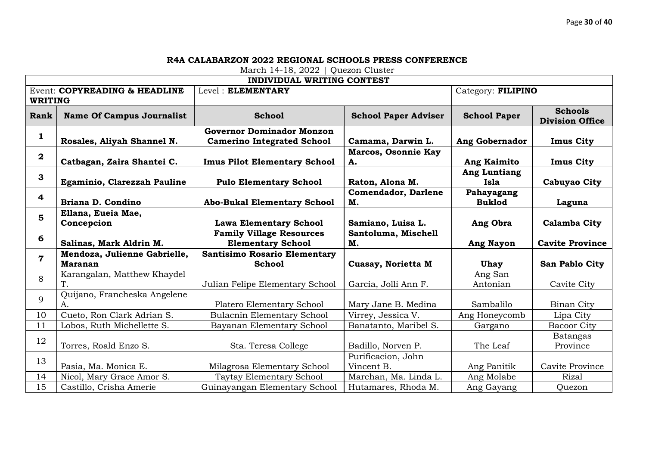|                         | <b>INDIVIDUAL WRITING CONTEST</b>              |                                                                       |                                  |                             |                                          |  |  |
|-------------------------|------------------------------------------------|-----------------------------------------------------------------------|----------------------------------|-----------------------------|------------------------------------------|--|--|
|                         | Event: COPYREADING & HEADLINE                  | Level: ELEMENTARY                                                     |                                  | Category: FILIPINO          |                                          |  |  |
| <b>WRITING</b>          |                                                |                                                                       |                                  |                             |                                          |  |  |
| Rank                    | <b>Name Of Campus Journalist</b>               | <b>School</b>                                                         | <b>School Paper Adviser</b>      | <b>School Paper</b>         | <b>Schools</b><br><b>Division Office</b> |  |  |
| 1                       | Rosales, Aliyah Shannel N.                     | <b>Governor Dominador Monzon</b><br><b>Camerino Integrated School</b> | Camama, Darwin L.                | <b>Ang Gobernador</b>       | <b>Imus City</b>                         |  |  |
| $\mathbf{2}$            | Catbagan, Zaira Shantei C.                     | <b>Imus Pilot Elementary School</b>                                   | <b>Marcos, Osonnie Kay</b><br>A. | <b>Ang Kaimito</b>          | <b>Imus City</b>                         |  |  |
| 3                       | Egaminio, Clarezzah Pauline                    | <b>Pulo Elementary School</b>                                         | Raton, Alona M.                  | <b>Ang Luntiang</b><br>Isla | Cabuyao City                             |  |  |
| 4                       | Briana D. Condino                              | <b>Abo-Bukal Elementary School</b>                                    | <b>Comendador, Darlene</b><br>M. | Pahayagang<br><b>Buklod</b> | Laguna                                   |  |  |
| 5                       | Ellana, Eueia Mae,<br>Concepcion               | <b>Lawa Elementary School</b>                                         | Samiano, Luisa L.                | Ang Obra                    | <b>Calamba City</b>                      |  |  |
| 6                       | Salinas, Mark Aldrin M.                        | <b>Family Village Resources</b><br><b>Elementary School</b>           | Santoluma, Mischell<br>M.        | <b>Ang Nayon</b>            | <b>Cavite Province</b>                   |  |  |
| $\overline{\mathbf{7}}$ | Mendoza, Julienne Gabrielle,<br><b>Maranan</b> | <b>Santisimo Rosario Elementary</b><br><b>School</b>                  | Cuasay, Norietta M               | Uhay                        | San Pablo City                           |  |  |
| 8                       | Karangalan, Matthew Khaydel<br>Τ.              | Julian Felipe Elementary School                                       | Garcia, Jolli Ann F.             | Ang San<br>Antonian         | Cavite City                              |  |  |
| 9                       | Quijano, Francheska Angelene<br>А.             | Platero Elementary School                                             | Mary Jane B. Medina              | Sambalilo                   | Binan City                               |  |  |
| 10                      | Cueto, Ron Clark Adrian S.                     | <b>Bulacnin Elementary School</b>                                     | Virrey, Jessica V.               | Ang Honeycomb               | Lipa City                                |  |  |
| 11                      | Lobos, Ruth Michellette S.                     | Bayanan Elementary School                                             | Banatanto, Maribel S.            | Gargano                     | <b>Bacoor City</b>                       |  |  |
| 12                      | Torres, Roald Enzo S.                          | Sta. Teresa College                                                   | Badillo, Norven P.               | The Leaf                    | Batangas<br>Province                     |  |  |
| 13                      | Pasia, Ma. Monica E.                           | Milagrosa Elementary School                                           | Purificacion, John<br>Vincent B. | Ang Panitik                 | Cavite Province                          |  |  |
| 14                      | Nicol, Mary Grace Amor S.                      | Taytay Elementary School                                              | Marchan, Ma. Linda L.            | Ang Molabe                  | <b>Rizal</b>                             |  |  |
| 15                      | Castillo, Crisha Amerie                        | Guinayangan Elementary School                                         | Hutamares, Rhoda M.              | Ang Gayang                  | Quezon                                   |  |  |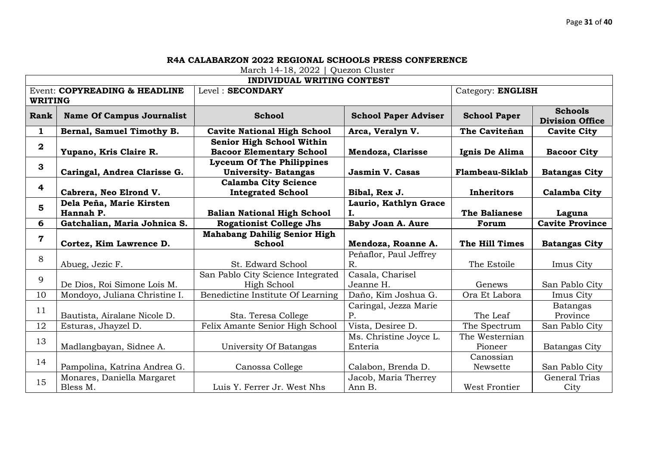|                  | <b>INDIVIDUAL WRITING CONTEST</b>      |                                                                 |                                   |                           |                                          |  |  |  |
|------------------|----------------------------------------|-----------------------------------------------------------------|-----------------------------------|---------------------------|------------------------------------------|--|--|--|
|                  | Event: COPYREADING & HEADLINE          | Level: SECONDARY                                                |                                   | Category: ENGLISH         |                                          |  |  |  |
| <b>WRITING</b>   |                                        |                                                                 |                                   |                           |                                          |  |  |  |
| Rank             | <b>Name Of Campus Journalist</b>       | <b>School</b>                                                   | <b>School Paper Adviser</b>       | <b>School Paper</b>       | <b>Schools</b><br><b>Division Office</b> |  |  |  |
| 1                | Bernal, Samuel Timothy B.              | <b>Cavite National High School</b>                              | Arca, Veralyn V.                  | The Caviteñan             | <b>Cavite City</b>                       |  |  |  |
| $\boldsymbol{2}$ | Yupano, Kris Claire R.                 | Senior High School Within<br><b>Bacoor Elementary School</b>    | Mendoza, Clarisse                 | Ignis De Alima            | <b>Bacoor City</b>                       |  |  |  |
| 3                | Caringal, Andrea Clarisse G.           | <b>Lyceum Of The Philippines</b><br><b>University- Batangas</b> | <b>Jasmin V. Casas</b>            | <b>Flambeau-Siklab</b>    | <b>Batangas City</b>                     |  |  |  |
| 4                | Cabrera, Neo Elrond V.                 | <b>Calamba City Science</b><br><b>Integrated School</b>         | Bibal, Rex J.                     | Inheritors                | Calamba City                             |  |  |  |
| 5                | Dela Peña, Marie Kirsten<br>Hannah P.  | <b>Balian National High School</b>                              | Laurio, Kathlyn Grace<br>Ι.       | The Balianese             | Laguna                                   |  |  |  |
| 6                | Gatchalian, Maria Johnica S.           | <b>Rogationist College Jhs</b>                                  | Baby Joan A. Aure                 | Forum                     | <b>Cavite Province</b>                   |  |  |  |
| $\overline{7}$   |                                        | <b>Mahabang Dahilig Senior High</b>                             |                                   |                           |                                          |  |  |  |
|                  | Cortez, Kim Lawrence D.                | <b>School</b>                                                   | Mendoza, Roanne A.                | The Hill Times            | <b>Batangas City</b>                     |  |  |  |
| 8                | Abueg, Jezic F.                        | St. Edward School                                               | Peñaflor, Paul Jeffrey<br>$R$ .   | The Estoile               | Imus City                                |  |  |  |
| 9                | De Dios, Roi Simone Lois M.            | San Pablo City Science Integrated<br>High School                | Casala, Charisel<br>Jeanne H.     | Genews                    | San Pablo City                           |  |  |  |
| 10               | Mondoyo, Juliana Christine I.          | Benedictine Institute Of Learning                               | Daño, Kim Joshua G.               | Ora Et Labora             | Imus City                                |  |  |  |
| 11               | Bautista, Airalane Nicole D.           | Sta. Teresa College                                             | Caringal, Jezza Marie<br>P.       | The Leaf                  | <b>Batangas</b><br>Province              |  |  |  |
| 12               | Esturas, Jhayzel D.                    | Felix Amante Senior High School                                 | Vista, Desiree D.                 | The Spectrum              | San Pablo City                           |  |  |  |
| 13               | Madlangbayan, Sidnee A.                | University Of Batangas                                          | Ms. Christine Joyce L.<br>Enteria | The Westernian<br>Pioneer | Batangas City                            |  |  |  |
| 14               | Pampolina, Katrina Andrea G.           | Canossa College                                                 | Calabon, Brenda D.                | Canossian<br>Newsette     | San Pablo City                           |  |  |  |
| 15               | Monares, Daniella Margaret<br>Bless M. | Luis Y. Ferrer Jr. West Nhs                                     | Jacob, Maria Therrey<br>Ann B.    | West Frontier             | <b>General Trias</b><br>City             |  |  |  |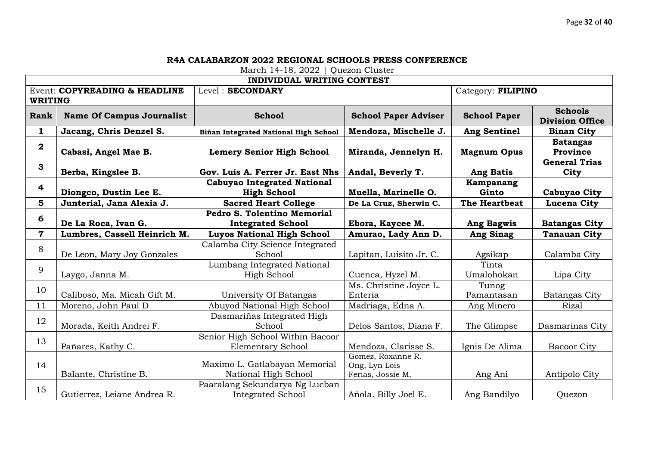|                | <b>INDIVIDUAL WRITING CONTEST</b> |                                       |                             |                     |                                          |  |  |  |
|----------------|-----------------------------------|---------------------------------------|-----------------------------|---------------------|------------------------------------------|--|--|--|
|                | Event: COPYREADING & HEADLINE     | Level: SECONDARY                      |                             | Category: FILIPINO  |                                          |  |  |  |
| <b>WRITING</b> |                                   |                                       |                             |                     |                                          |  |  |  |
| Rank           | <b>Name Of Campus Journalist</b>  | <b>School</b>                         | <b>School Paper Adviser</b> | <b>School Paper</b> | <b>Schools</b><br><b>Division Office</b> |  |  |  |
| $\mathbf 1$    | Jacang, Chris Denzel S.           | Biñan Integrated National High School | Mendoza, Mischelle J.       | <b>Ang Sentinel</b> | <b>Binan City</b>                        |  |  |  |
| $\mathbf 2$    | Cabasi, Angel Mae B.              | <b>Lemery Senior High School</b>      | Miranda, Jennelyn H.        | <b>Magnum Opus</b>  | <b>Batangas</b><br>Province              |  |  |  |
| 3              | Berba, Kingslee B.                | Gov. Luis A. Ferrer Jr. East Nhs      | Andal, Beverly T.           | <b>Ang Batis</b>    | <b>General Trias</b><br>City             |  |  |  |
| 4              |                                   | <b>Cabuyao Integrated National</b>    |                             | Kampanang           |                                          |  |  |  |
|                | Diongco, Dustin Lee E.            | <b>High School</b>                    | Muella, Marinelle O.        | Ginto               | <b>Cabuyao City</b>                      |  |  |  |
| 5              | Junterial, Jana Alexia J.         | <b>Sacred Heart College</b>           | De La Cruz, Sherwin C.      | The Heartbeat       | Lucena City                              |  |  |  |
| 6              |                                   | Pedro S. Tolentino Memorial           |                             |                     |                                          |  |  |  |
|                | De La Roca, Ivan G.               | <b>Integrated School</b>              | Ebora, Kaycee M.            | <b>Ang Bagwis</b>   | <b>Batangas City</b>                     |  |  |  |
| $\mathbf 7$    | Lumbres, Cassell Heinrich M.      | <b>Luyos National High School</b>     | Amurao, Lady Ann D.         | <b>Ang Sinag</b>    | <b>Tanauan City</b>                      |  |  |  |
| 8              |                                   | Calamba City Science Integrated       |                             |                     |                                          |  |  |  |
|                | De Leon, Mary Joy Gonzales        | School                                | Lapitan, Luisito Jr. C.     | Agsikap             | Calamba City                             |  |  |  |
| 9              |                                   | Lumbang Integrated National           |                             | Tinta               |                                          |  |  |  |
|                | Laygo, Janna M.                   | <b>High School</b>                    | Cuenca, Hyzel M.            | Umalohokan          | Lipa City                                |  |  |  |
| 10             |                                   |                                       | Ms. Christine Joyce L.      | Tunog               |                                          |  |  |  |
|                | Caliboso, Ma. Micah Gift M.       | University Of Batangas                | Enteria                     | Pamantasan          | <b>Batangas City</b>                     |  |  |  |
| 11             | Moreno, John Paul D               | Abuyod National High School           | Madriaga, Edna A.           | Ang Minero          | Rizal                                    |  |  |  |
| 12             |                                   | Dasmariñas Integrated High            |                             |                     |                                          |  |  |  |
|                | Morada, Keith Andrei F.           | School                                | Delos Santos, Diana F.      | The Glimpse         | Dasmarinas City                          |  |  |  |
| 13             |                                   | Senior High School Within Bacoor      |                             |                     |                                          |  |  |  |
|                | Pañares, Kathy C.                 | <b>Elementary School</b>              | Mendoza, Clarisse S.        | Ignis De Alima      | <b>Bacoor City</b>                       |  |  |  |
|                |                                   |                                       | Gomez, Roxanne R.           |                     |                                          |  |  |  |
| 14             |                                   | Maximo L. Gatlabayan Memorial         | Ong, Lyn Lois               |                     |                                          |  |  |  |
|                | Balante, Christine B.             | National High School                  | Ferias, Jossie M.           | Ang Ani             | Antipolo City                            |  |  |  |
| 15             |                                   | Paaralang Sekundarya Ng Lucban        |                             |                     |                                          |  |  |  |
|                | Gutierrez, Leiane Andrea R.       | <b>Integrated School</b>              | Añola. Billy Joel E.        | Ang Bandilyo        | Quezon                                   |  |  |  |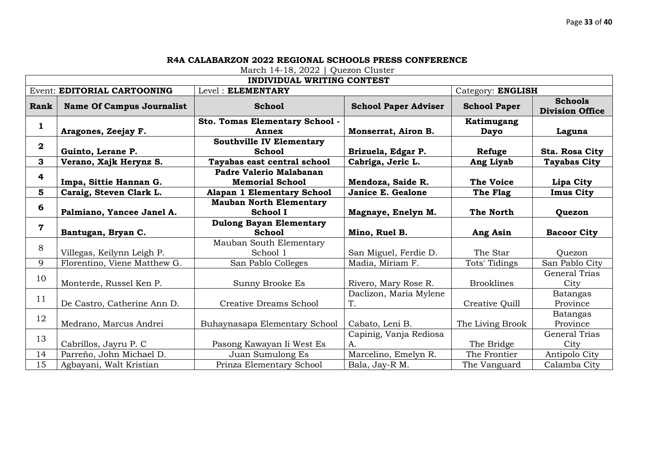| <b>INDIVIDUAL WRITING CONTEST</b> |                                  |                                   |                             |                     |                                          |  |
|-----------------------------------|----------------------------------|-----------------------------------|-----------------------------|---------------------|------------------------------------------|--|
|                                   | Event: EDITORIAL CARTOONING      | Level: ELEMENTARY                 | Category: ENGLISH           |                     |                                          |  |
| Rank                              | <b>Name Of Campus Journalist</b> | <b>School</b>                     | <b>School Paper Adviser</b> | <b>School Paper</b> | <b>Schools</b><br><b>Division Office</b> |  |
| 1                                 |                                  | Sto. Tomas Elementary School -    |                             | Katimugang          |                                          |  |
|                                   | Aragones, Zeejay F.              | Annex                             | Monserrat, Airon B.         | Dayo                | Laguna                                   |  |
| $\overline{\mathbf{2}}$           |                                  | <b>Southville IV Elementary</b>   |                             |                     |                                          |  |
|                                   | Guinto, Lerane P.                | <b>School</b>                     | Brizuela, Edgar P.          | Refuge              | Sta. Rosa City                           |  |
| 3                                 | Verano, Xajk Herynz S.           | Tayabas east central school       | Cabriga, Jeric L.           | Ang Liyab           | <b>Tayabas City</b>                      |  |
| 4                                 |                                  | Padre Valerio Malabanan           |                             |                     |                                          |  |
|                                   | Impa, Sittie Hannan G.           | <b>Memorial School</b>            | Mendoza, Saide R.           | <b>The Voice</b>    | Lipa City                                |  |
| 5                                 | Caraig, Steven Clark L.          | <b>Alapan 1 Elementary School</b> | Janice E. Gealone           | The Flag            | <b>Imus City</b>                         |  |
| 6                                 |                                  | <b>Mauban North Elementary</b>    |                             |                     |                                          |  |
|                                   | Palmiano, Yancee Janel A.        | <b>School I</b>                   | Magnaye, Enelyn M.          | The North           | Quezon                                   |  |
| 7                                 |                                  | <b>Dulong Bayan Elementary</b>    |                             |                     |                                          |  |
|                                   | Bantugan, Bryan C.               | <b>School</b>                     | Mino, Ruel B.               | Ang Asin            | <b>Bacoor City</b>                       |  |
| 8                                 |                                  | Mauban South Elementary           |                             |                     |                                          |  |
|                                   | Villegas, Keilynn Leigh P.       | School 1                          | San Miguel, Ferdie D.       | The Star            | Ouezon                                   |  |
| 9                                 | Florentino, Viene Matthew G.     | San Pablo Colleges                | Madia, Miriam F.            | Tots' Tidings       | San Pablo City                           |  |
| 10                                |                                  |                                   |                             |                     | General Trias                            |  |
|                                   | Monterde, Russel Ken P.          | Sunny Brooke Es                   | Rivero, Mary Rose R.        | <b>Brooklines</b>   | City                                     |  |
| 11                                |                                  |                                   | Daclizon, Maria Mylene      |                     | Batangas                                 |  |
|                                   | De Castro, Catherine Ann D.      | Creative Dreams School            | T.                          | Creative Quill      | Province                                 |  |
| 12                                |                                  |                                   |                             |                     | <b>Batangas</b>                          |  |
|                                   | Medrano, Marcus Andrei           | Buhaynasapa Elementary School     | Cabato, Leni B.             | The Living Brook    | Province                                 |  |
| 13                                |                                  |                                   | Capinig, Vanja Rediosa      |                     | General Trias                            |  |
|                                   | Cabrillos, Jayru P. C            | Pasong Kawayan Ii West Es         | A.                          | The Bridge          | City                                     |  |
| 14                                | Parreño, John Michael D.         | Juan Sumulong Es                  | Marcelino, Emelyn R.        | The Frontier        | Antipolo City                            |  |
| 15                                | Agbayani, Walt Kristian          | Prinza Elementary School          | Bala, Jay-R M.              | The Vanguard        | Calamba City                             |  |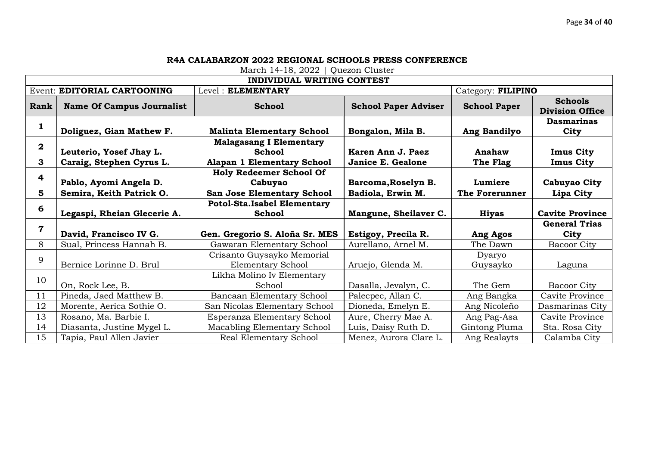|                         | <b>INDIVIDUAL WRITING CONTEST</b> |                                                 |                             |                     |                                          |  |  |
|-------------------------|-----------------------------------|-------------------------------------------------|-----------------------------|---------------------|------------------------------------------|--|--|
|                         | Event: EDITORIAL CARTOONING       | Level: ELEMENTARY                               |                             | Category: FILIPINO  |                                          |  |  |
| Rank                    | <b>Name Of Campus Journalist</b>  | <b>School</b>                                   | <b>School Paper Adviser</b> | <b>School Paper</b> | <b>Schools</b><br><b>Division Office</b> |  |  |
| 1                       | Doliguez, Gian Mathew F.          | <b>Malinta Elementary School</b>                | Bongalon, Mila B.           | Ang Bandilyo        | <b>Dasmarinas</b><br>City                |  |  |
| $\overline{\mathbf{2}}$ | Leuterio, Yosef Jhay L.           | <b>Malagasang I Elementary</b><br><b>School</b> | Karen Ann J. Paez           | Anahaw              | <b>Imus City</b>                         |  |  |
| 3                       | Caraig, Stephen Cyrus L.          | Alapan 1 Elementary School                      | Janice E. Gealone           | The Flag            | <b>Imus City</b>                         |  |  |
| 4                       | Pablo, Ayomi Angela D.            | <b>Holy Redeemer School Of</b><br>Cabuyao       | Barcoma, Roselyn B.         | Lumiere             | Cabuyao City                             |  |  |
| 5                       | Semira, Keith Patrick O.          | San Jose Elementary School                      | Badiola, Erwin M.           | The Forerunner      | Lipa City                                |  |  |
| 6                       |                                   | <b>Potol-Sta.Isabel Elementary</b>              |                             |                     |                                          |  |  |
|                         | Legaspi, Rheian Glecerie A.       | School                                          | Mangune, Sheilaver C.       | <b>Hiyas</b>        | <b>Cavite Province</b>                   |  |  |
| $\overline{7}$          | David, Francisco IV G.            | Gen. Gregorio S. Aloña Sr. MES                  | Estigoy, Precila R.         | Ang Agos            | <b>General Trias</b><br>City             |  |  |
| 8                       | Sual, Princess Hannah B.          | Gawaran Elementary School                       | Aurellano, Arnel M.         | The Dawn            | <b>Bacoor City</b>                       |  |  |
| 9                       | Bernice Lorinne D. Brul           | Crisanto Guysayko Memorial<br>Elementary School | Aruejo, Glenda M.           | Dyaryo<br>Guysayko  | Laguna                                   |  |  |
| 10                      | On, Rock Lee, B.                  | Likha Molino Iv Elementary<br>School            | Dasalla, Jevalyn, C.        | The Gem             | <b>Bacoor City</b>                       |  |  |
| 11                      | Pineda, Jaed Matthew B.           | Bancaan Elementary School                       | Palecpec, Allan C.          | Ang Bangka          | Cavite Province                          |  |  |
| 12                      | Morente, Aerica Sothie O.         | San Nicolas Elementary School                   | Dioneda, Emelyn E.          | Ang Nicoleño        | Dasmarinas City                          |  |  |
| 13                      | Rosano, Ma. Barbie I.             | Esperanza Elementary School                     | Aure, Cherry Mae A.         | Ang Pag-Asa         | Cavite Province                          |  |  |
| 14                      | Diasanta, Justine Mygel L.        | Macabling Elementary School                     | Luis, Daisy Ruth D.         | Gintong Pluma       | Sta. Rosa City                           |  |  |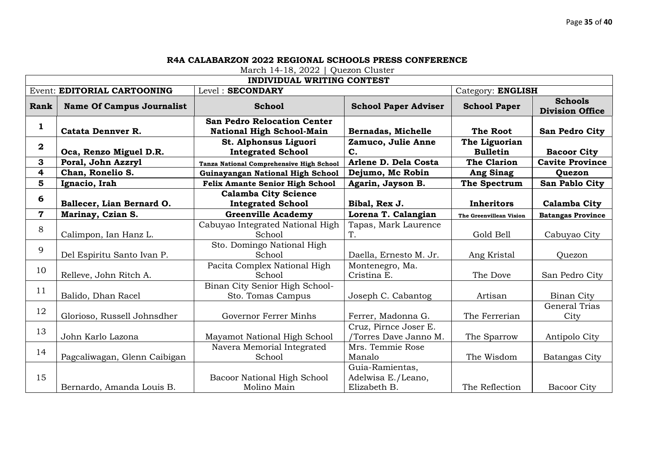| <b>INDIVIDUAL WRITING CONTEST</b> |                                  |                                                                        |                                |                                  |                                          |  |
|-----------------------------------|----------------------------------|------------------------------------------------------------------------|--------------------------------|----------------------------------|------------------------------------------|--|
|                                   | Event: EDITORIAL CARTOONING      | Level: SECONDARY                                                       |                                | Category: ENGLISH                |                                          |  |
| Rank                              | <b>Name Of Campus Journalist</b> | <b>School</b>                                                          | <b>School Paper Adviser</b>    | <b>School Paper</b>              | <b>Schools</b><br><b>Division Office</b> |  |
| 1                                 | <b>Catata Dennver R.</b>         | <b>San Pedro Relocation Center</b><br><b>National High School-Main</b> | <b>Bernadas, Michelle</b>      | The Root                         | San Pedro City                           |  |
| $\bf{2}$                          | Oca, Renzo Miguel D.R.           | St. Alphonsus Liguori<br><b>Integrated School</b>                      | Zamuco, Julie Anne<br>C.       | The Liguorian<br><b>Bulletin</b> | <b>Bacoor City</b>                       |  |
| 3                                 | Poral, John Azzryl               | <b>Tanza National Comprehensive High School</b>                        | Arlene D. Dela Costa           | <b>The Clarion</b>               | <b>Cavite Province</b>                   |  |
| 4                                 | Chan, Ronelio S.                 | Guinayangan National High School                                       | Dejumo, Mc Robin               | <b>Ang Sinag</b>                 | <b>Quezon</b>                            |  |
| 5                                 | Ignacio, Irah                    | <b>Felix Amante Senior High School</b>                                 | Agarin, Jayson B.              | The Spectrum                     | San Pablo City                           |  |
| 6                                 |                                  | <b>Calamba City Science</b>                                            |                                |                                  |                                          |  |
|                                   | Ballecer, Lian Bernard O.        | <b>Integrated School</b>                                               | Bibal, Rex J.                  | <b>Inheritors</b>                | <b>Calamba City</b>                      |  |
| $\overline{\mathbf{7}}$           | Marinay, Czian S.                | <b>Greenville Academy</b>                                              | Lorena T. Calangian            | The Greenvillean Vision          | <b>Batangas Province</b>                 |  |
| 8                                 | Calimpon, Ian Hanz L.            | Cabuyao Integrated National High<br>School                             | Tapas, Mark Laurence<br>T.     | Gold Bell                        | Cabuyao City                             |  |
|                                   |                                  | Sto. Domingo National High                                             |                                |                                  |                                          |  |
| 9                                 | Del Espiritu Santo Ivan P.       | School                                                                 | Daella, Ernesto M. Jr.         | Ang Kristal                      | Quezon                                   |  |
| 10                                | Relleve, John Ritch A.           | Pacita Complex National High<br>School                                 | Montenegro, Ma.<br>Cristina E. | The Dove                         | San Pedro City                           |  |
| 11                                |                                  | Binan City Senior High School-                                         |                                |                                  |                                          |  |
|                                   | Balido, Dhan Racel               | Sto. Tomas Campus                                                      | Joseph C. Cabantog             | Artisan                          | <b>Binan City</b>                        |  |
| 12                                | Glorioso, Russell Johnsdher      | Governor Ferrer Minhs                                                  | Ferrer, Madonna G.             | The Ferrerian                    | <b>General Trias</b><br>City             |  |
|                                   |                                  |                                                                        | Cruz, Pirnce Joser E.          |                                  |                                          |  |
| 13                                | John Karlo Lazona                | Mayamot National High School                                           | /Torres Dave Janno M.          | The Sparrow                      | Antipolo City                            |  |
| 14                                |                                  | Navera Memorial Integrated                                             | Mrs. Temmie Rose               |                                  |                                          |  |
|                                   | Pagcaliwagan, Glenn Caibigan     | School                                                                 | Manalo                         | The Wisdom                       | Batangas City                            |  |
|                                   |                                  |                                                                        | Guia-Ramientas,                |                                  |                                          |  |
| 15                                |                                  | Bacoor National High School                                            | Adelwisa E./Leano,             |                                  |                                          |  |
|                                   | Bernardo, Amanda Louis B.        | Molino Main                                                            | Elizabeth B.                   | The Reflection                   | <b>Bacoor City</b>                       |  |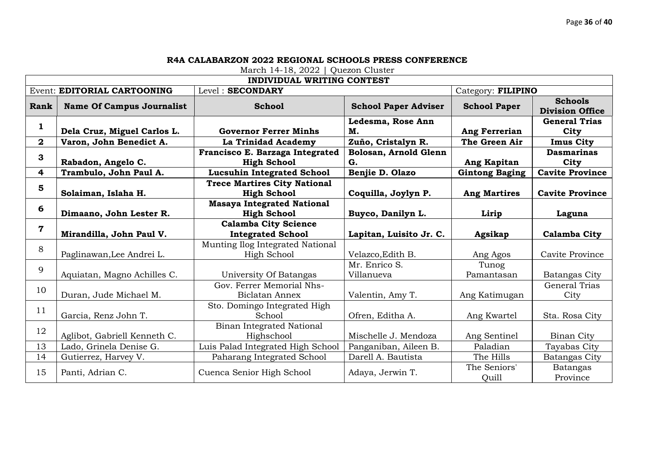|              | <b>INDIVIDUAL WRITING CONTEST</b> |                                                           |                             |                       |                                          |  |
|--------------|-----------------------------------|-----------------------------------------------------------|-----------------------------|-----------------------|------------------------------------------|--|
|              | Event: EDITORIAL CARTOONING       | Level: SECONDARY                                          |                             | Category: FILIPINO    |                                          |  |
| Rank         | <b>Name Of Campus Journalist</b>  | <b>School</b>                                             | <b>School Paper Adviser</b> | <b>School Paper</b>   | <b>Schools</b><br><b>Division Office</b> |  |
| $\mathbf 1$  | Dela Cruz, Miguel Carlos L.       | <b>Governor Ferrer Minhs</b>                              | Ledesma, Rose Ann<br>M.     | Ang Ferrerian         | <b>General Trias</b><br>City             |  |
| $\mathbf{2}$ | Varon, John Benedict A.           | La Trinidad Academy                                       | Zuño, Cristalyn R.          | The Green Air         | <b>Imus City</b>                         |  |
| 3            |                                   | Francisco E. Barzaga Integrated                           | Bolosan, Arnold Glenn       |                       | <b>Dasmarinas</b>                        |  |
|              | Rabadon, Angelo C.                | <b>High School</b>                                        | G.                          | Ang Kapitan           | City                                     |  |
| 4            | Trambulo, John Paul A.            | <b>Lucsuhin Integrated School</b>                         | Benjie D. Olazo             | <b>Gintong Baging</b> | <b>Cavite Province</b>                   |  |
| 5            | Solaiman, Islaha H.               | <b>Trece Martires City National</b><br><b>High School</b> | Coquilla, Joylyn P.         | <b>Ang Martires</b>   | <b>Cavite Province</b>                   |  |
|              |                                   | <b>Masaya Integrated National</b>                         |                             |                       |                                          |  |
| 6            | Dimaano, John Lester R.           | <b>High School</b>                                        | Buyco, Danilyn L.           | Lirip                 | Laguna                                   |  |
| 7            |                                   | <b>Calamba City Science</b>                               |                             |                       |                                          |  |
|              | Mirandilla, John Paul V.          | <b>Integrated School</b>                                  | Lapitan, Luisito Jr. C.     | Agsikap               | <b>Calamba City</b>                      |  |
| 8            |                                   | Munting Ilog Integrated National                          |                             |                       |                                          |  |
|              | Paglinawan, Lee Andrei L.         | High School                                               | Velazco, Edith B.           | Ang Agos              | Cavite Province                          |  |
| 9            |                                   |                                                           | Mr. Enrico S.               | Tunog                 |                                          |  |
|              | Aquiatan, Magno Achilles C.       | University Of Batangas                                    | Villanueva                  | Pamantasan            | Batangas City                            |  |
| 10           |                                   | Gov. Ferrer Memorial Nhs-                                 |                             |                       | <b>General Trias</b>                     |  |
|              | Duran, Jude Michael M.            | Biclatan Annex                                            | Valentin, Amy T.            | Ang Katimugan         | City                                     |  |
| 11           |                                   | Sto. Domingo Integrated High                              |                             |                       |                                          |  |
|              | Garcia, Renz John T.              | School                                                    | Ofren, Editha A.            | Ang Kwartel           | Sta. Rosa City                           |  |
| 12           |                                   | <b>Binan Integrated National</b>                          |                             |                       |                                          |  |
|              | Aglibot, Gabriell Kenneth C.      | Highschool                                                | Mischelle J. Mendoza        | Ang Sentinel          | <b>Binan City</b>                        |  |
| 13           | Lado, Grinela Denise G.           | Luis Palad Integrated High School                         | Panganiban, Aileen B.       | Paladian              | Tayabas City                             |  |
| 14           | Gutierrez, Harvey V.              | Paharang Integrated School                                | Darell A. Bautista          | The Hills             | Batangas City                            |  |
| 15           | Panti, Adrian C.                  | Cuenca Senior High School                                 | Adaya, Jerwin T.            | The Seniors'<br>Quill | <b>Batangas</b><br>Province              |  |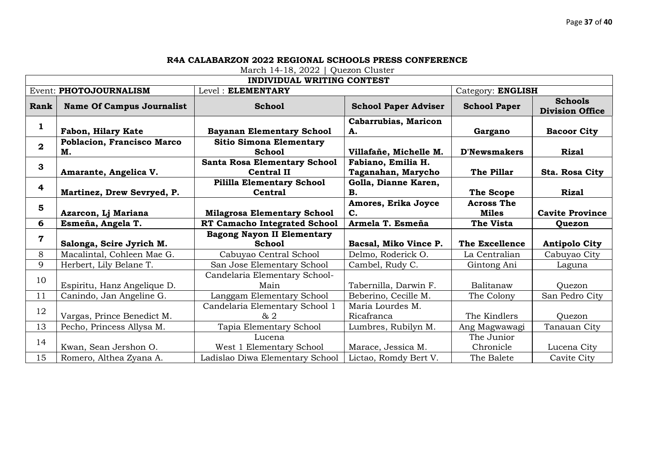| <b>INDIVIDUAL WRITING CONTEST</b> |                                  |                                     |                             |                     |                                          |
|-----------------------------------|----------------------------------|-------------------------------------|-----------------------------|---------------------|------------------------------------------|
| Event: PHOTOJOURNALISM            |                                  | Level: ELEMENTARY                   |                             | Category: ENGLISH   |                                          |
| Rank                              | <b>Name Of Campus Journalist</b> | <b>School</b>                       | <b>School Paper Adviser</b> | <b>School Paper</b> | <b>Schools</b><br><b>Division Office</b> |
| 1                                 |                                  |                                     | Cabarrubias, Maricon        |                     |                                          |
|                                   | Fabon, Hilary Kate               | <b>Bayanan Elementary School</b>    | A.                          | Gargano             | <b>Bacoor City</b>                       |
| $\overline{2}$                    | Poblacion, Francisco Marco       | <b>Sitio Simona Elementary</b>      |                             |                     |                                          |
|                                   | М.                               | <b>School</b>                       | Villafañe, Michelle M.      | <b>D'Newsmakers</b> | <b>Rizal</b>                             |
| 3                                 |                                  | <b>Santa Rosa Elementary School</b> | Fabiano, Emilia H.          |                     |                                          |
|                                   | Amarante, Angelica V.            | <b>Central II</b>                   | Taganahan, Marycho          | The Pillar          | Sta. Rosa City                           |
| 4                                 |                                  | <b>Pililla Elementary School</b>    | Golla, Dianne Karen,        |                     |                                          |
|                                   | Martinez, Drew Sevryed, P.       | <b>Central</b>                      | В.                          | <b>The Scope</b>    | <b>Rizal</b>                             |
| 5                                 |                                  |                                     | Amores, Erika Joyce         | <b>Across The</b>   |                                          |
|                                   | Azarcon, Lj Mariana              | <b>Milagrosa Elementary School</b>  | C.                          | <b>Miles</b>        | <b>Cavite Province</b>                   |
|                                   |                                  |                                     |                             |                     |                                          |
| 6                                 | Esmeña, Angela T.                | <b>RT Camacho Integrated School</b> | Armela T. Esmeña            | <b>The Vista</b>    | Quezon                                   |
|                                   |                                  | <b>Bagong Nayon II Elementary</b>   |                             |                     |                                          |
| 7                                 | Salonga, Scire Jyrich M.         | <b>School</b>                       | Bacsal, Miko Vince P.       | The Excellence      | <b>Antipolo City</b>                     |
| 8                                 | Macalintal, Cohleen Mae G.       | Cabuyao Central School              | Delmo, Roderick O.          | La Centralian       | Cabuyao City                             |
| 9                                 | Herbert, Lily Belane T.          | San Jose Elementary School          | Cambel, Rudy C.             | Gintong Ani         | Laguna                                   |
|                                   |                                  | Candelaria Elementary School-       |                             |                     |                                          |
| 10                                | Espiritu, Hanz Angelique D.      | Main                                | Tabernilla, Darwin F.       | Balitanaw           | Ouezon                                   |
| 11                                | Canindo, Jan Angeline G.         | Langgam Elementary School           | Beberino, Cecille M.        | The Colony          | San Pedro City                           |
|                                   |                                  | Candelaria Elementary School 1      | Maria Lourdes M.            |                     |                                          |
| 12                                | Vargas, Prince Benedict M.       | & 2                                 | Ricafranca                  | The Kindlers        | Quezon                                   |
| 13                                | Pecho, Princess Allysa M.        | Tapia Elementary School             | Lumbres, Rubilyn M.         | Ang Magwawagi       | Tanauan City                             |
|                                   |                                  | Lucena                              |                             | The Junior          |                                          |
| 14                                | Kwan, Sean Jershon O.            | West 1 Elementary School            | Marace, Jessica M.          | Chronicle           | Lucena City                              |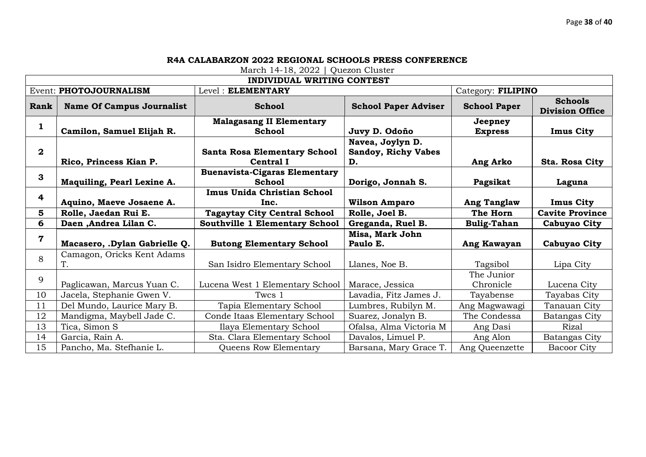| <b>INDIVIDUAL WRITING CONTEST</b> |                                  |                                       |                             |                     |                                          |
|-----------------------------------|----------------------------------|---------------------------------------|-----------------------------|---------------------|------------------------------------------|
| Event: PHOTOJOURNALISM            |                                  | Level: ELEMENTARY                     |                             | Category: FILIPINO  |                                          |
| Rank                              | <b>Name Of Campus Journalist</b> | <b>School</b>                         | <b>School Paper Adviser</b> | <b>School Paper</b> | <b>Schools</b><br><b>Division Office</b> |
| 1                                 |                                  | <b>Malagasang II Elementary</b>       |                             | Jeepney             |                                          |
|                                   | Camilon, Samuel Elijah R.        | <b>School</b>                         | Juvy D. Odoño               | <b>Express</b>      | <b>Imus City</b>                         |
|                                   |                                  |                                       | Navea, Joylyn D.            |                     |                                          |
| $\mathbf{2}$                      |                                  | <b>Santa Rosa Elementary School</b>   | <b>Sandoy, Richy Vabes</b>  |                     |                                          |
|                                   | Rico, Princess Kian P.           | <b>Central I</b>                      | D.                          | Ang Arko            | Sta. Rosa City                           |
| 3                                 |                                  | <b>Buenavista-Cigaras Elementary</b>  |                             |                     |                                          |
|                                   | Maquiling, Pearl Lexine A.       | <b>School</b>                         | Dorigo, Jonnah S.           | Pagsikat            | Laguna                                   |
| 4                                 |                                  | Imus Unida Christian School           |                             |                     |                                          |
|                                   | Aquino, Maeve Josaene A.         | Inc.                                  | <b>Wilson Amparo</b>        | <b>Ang Tanglaw</b>  | <b>Imus City</b>                         |
| 5                                 | Rolle, Jaedan Rui E.             | <b>Tagaytay City Central School</b>   | Rolle, Joel B.              | The Horn            | <b>Cavite Province</b>                   |
| 6                                 | Daen , Andrea Lilan C.           | <b>Southville 1 Elementary School</b> | Greganda, Ruel B.           | <b>Bulig-Tahan</b>  | Cabuyao City                             |
| 7                                 |                                  |                                       | Misa, Mark John             |                     |                                          |
|                                   | Macasero, .Dylan Gabrielle Q.    | <b>Butong Elementary School</b>       | Paulo E.                    | Ang Kawayan         | <b>Cabuyao City</b>                      |
| 8                                 | Camagon, Oricks Kent Adams       |                                       |                             |                     |                                          |
|                                   | Т.                               | San Isidro Elementary School          | Llanes, Noe B.              | Tagsibol            | Lipa City                                |
| 9                                 |                                  |                                       |                             | The Junior          |                                          |
|                                   | Paglicawan, Marcus Yuan C.       | Lucena West 1 Elementary School       | Marace, Jessica             | Chronicle           | Lucena City                              |
| 10                                | Jacela, Stephanie Gwen V.        | Twcs 1                                | Lavadia, Fitz James J.      | Tayabense           | Tayabas City                             |
| 11                                | Del Mundo, Laurice Mary B.       | Tapia Elementary School               | Lumbres, Rubilyn M.         | Ang Magwawagi       | Tanauan City                             |
| 12                                | Mandigma, Maybell Jade C.        | Conde Itaas Elementary School         | Suarez, Jonalyn B.          | The Condessa        | Batangas City                            |
| 13                                | Tica, Simon S                    | Ilaya Elementary School               | Ofalsa, Alma Victoria M     | Ang Dasi            | Rizal                                    |
| 14                                | Garcia, Rain A.                  | Sta. Clara Elementary School          | Davalos, Limuel P.          | Ang Alon            | Batangas City                            |
| 15                                | Pancho, Ma. Stefhanie L.         | Queens Row Elementary                 | Barsana, Mary Grace T.      | Ang Queenzette      | <b>Bacoor City</b>                       |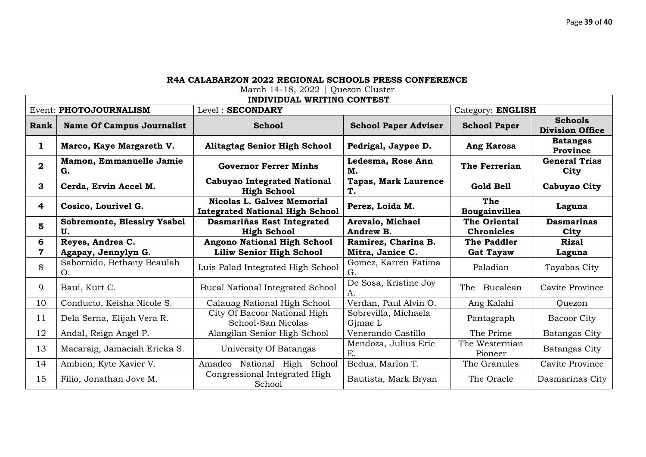| <b>INDIVIDUAL WRITING CONTEST</b> |                                          |                                                                             |                                   |                                   |                                          |
|-----------------------------------|------------------------------------------|-----------------------------------------------------------------------------|-----------------------------------|-----------------------------------|------------------------------------------|
|                                   | Event: PHOTOJOURNALISM                   | Level: SECONDARY                                                            |                                   | Category: ENGLISH                 |                                          |
| Rank                              | <b>Name Of Campus Journalist</b>         | <b>School</b>                                                               | <b>School Paper Adviser</b>       | <b>School Paper</b>               | <b>Schools</b><br><b>Division Office</b> |
| 1                                 | Marco, Kaye Margareth V.                 | <b>Alitagtag Senior High School</b>                                         | Pedrigal, Jaypee D.               | Ang Karosa                        | <b>Batangas</b><br>Province              |
| $\mathbf{2}$                      | Mamon, Emmanuelle Jamie<br>G.            | <b>Governor Ferrer Minhs</b>                                                | Ledesma, Rose Ann<br>М.           | The Ferrerian                     | <b>General Trias</b><br>City             |
| 3                                 | Cerda, Ervin Accel M.                    | <b>Cabuyao Integrated National</b><br><b>High School</b>                    | <b>Tapas, Mark Laurence</b><br>T. | Gold Bell                         | Cabuyao City                             |
| 4                                 | Cosico, Lourivel G.                      | <b>Nicolas L. Galvez Memorial</b><br><b>Integrated National High School</b> | Perez, Loida M.                   | The<br>Bougainvillea              | Laguna                                   |
| 5                                 | <b>Sobremonte, Blessiry Ysabel</b><br>U. | Dasmariñas East Integrated<br><b>High School</b>                            | Arevalo, Michael<br>Andrew B.     | The Oriental<br><b>Chronicles</b> | <b>Dasmarinas</b><br>City                |
| 6                                 | Reyes, Andrea C.                         | <b>Angono National High School</b>                                          | Ramirez, Charina B.               | The Paddler                       | <b>Rizal</b>                             |
| $\overline{\mathbf{7}}$           | Agapay, Jennylyn G.                      | <b>Liliw Senior High School</b>                                             | Mitra, Janice C.                  | <b>Gat Tayaw</b>                  | Laguna                                   |
| 8                                 | Sabornido, Bethany Beaulah<br>O.         | Luis Palad Integrated High School                                           | Gomez, Karren Fatima<br>G.        | Paladian                          | Tayabas City                             |
| 9                                 | Baui, Kurt C.                            | <b>Bucal National Integrated School</b>                                     | De Sosa, Kristine Joy<br>А.       | Bucalean<br>The                   | Cavite Province                          |
| 10                                | Conducto, Keisha Nicole S.               | Calauag National High School                                                | Verdan, Paul Alvin O.             | Ang Kalahi                        | Quezon                                   |
| 11                                | Dela Serna, Elijah Vera R.               | City Of Bacoor National High<br>School-San Nicolas                          | Sobrevilla, Michaela<br>Gimae L   | Pantagraph                        | Bacoor City                              |
| 12                                | Andal, Reign Angel P.                    | Alangilan Senior High School                                                | Venerando Castillo                | The Prime                         | Batangas City                            |
| 13                                | Macaraig, Jamaeiah Ericka S.             | University Of Batangas                                                      | Mendoza, Julius Eric<br>E.        | The Westernian<br>Pioneer         | Batangas City                            |
| 14                                | Ambion, Kyte Xavier V.                   | Amadeo National High School                                                 | Bedua, Marlon T.                  | The Granules                      | Cavite Province                          |
| 15                                | Filio, Jonathan Jove M.                  | Congressional Integrated High<br>School                                     | Bautista, Mark Bryan              | The Oracle                        | Dasmarinas City                          |